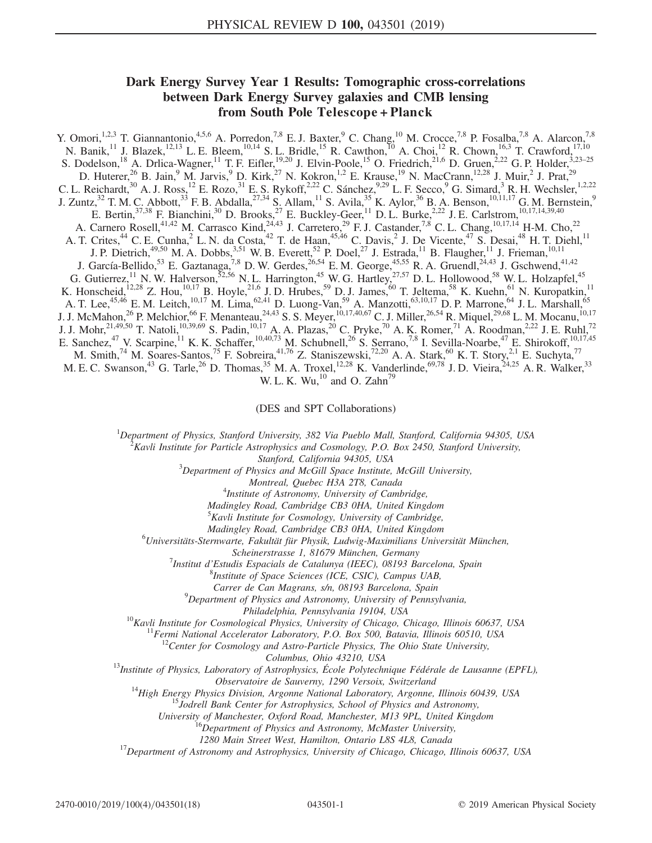# Dark Energy Survey Year 1 Results: Tomographic cross-correlations between Dark Energy Survey galaxies and CMB lensing from South Pole Telescope + Planck

Y. Omori, <sup>1,2,3</sup> T. Giannantonio, <sup>4,5,6</sup> A. Porredon, <sup>7,8</sup> E. J. Baxter, <sup>9</sup> C. Chang, <sup>10</sup> M. Crocce, <sup>7,8</sup> P. Fosalba, <sup>7,8</sup> A. Alarcon, <sup>7,8</sup> N. Banik,<sup>11</sup> J. Blazek,<sup>12,13</sup> L. E. Bleem,<sup>10,14</sup> S. L. Bridle,<sup>15</sup> R. Cawthon,<sup>10</sup> A. Choi,<sup>12</sup> R. Chown,<sup>16,3</sup> T. Crawford,<sup>17,10</sup> S. Dodelson,<sup>18</sup> A. Drlica-Wagner,<sup>11</sup> T. F. Eifler,<sup>19,20</sup> J. Elvin-Poole,<sup>15</sup> O. Friedrich,<sup>21,6</sup> D. Gruen,<sup>2,22</sup> G. P. Holder,<sup>3,23–25</sup> D. Huterer,  $^{26}$  B. Jain,  $^{9}$  M. Jarvis,  $^{9}$  D. Kirk,  $^{27}$  N. Kokron,  $^{1,2}$  E. Krause,  $^{19}$  N. MacCrann,  $^{12,28}$  J. Muir,  $^{2}$  J. Prat,  $^{29}$ C. L. Reichardt,<sup>30</sup> A. J. Ross,<sup>12</sup> E. Rozo,<sup>31</sup> E. S. Rykoff,<sup>2,22</sup> C. Sánchez,<sup>9,29</sup> L. F. Secco,<sup>9</sup> G. Simard,<sup>3</sup> R. H. Wechsler,<sup>1,2,22</sup> J. Zuntz,<sup>32</sup> T. M. C. Abbott,<sup>33</sup> F. B. Abdalla,<sup>27,34</sup> S. Allam,<sup>11</sup> S. Avila,<sup>35</sup> K. Aylor,<sup>36</sup> B. A. Benson,<sup>10,11,17</sup> G. M. Bernstein,<sup>9</sup> E. Bertin,  $37,38$  F. Bianchini,  $30$  D. Brooks,  $27$  E. Buckley-Geer,  $11$  D. L. Burke,  $2,22$  J. E. Carlstrom,  $10,17,14,39,40$ A. Carnero Rosell,<sup>41,42</sup> M. Carrasco Kind,<sup>24,43</sup> J. Carretero,<sup>29</sup> F. J. Castander,<sup>7,8</sup> C. L. Chang,<sup>10,17,14</sup> H-M. Cho,<sup>22</sup> A. T. Crites,  $^{44}$  C. E. Cunha,  $^{2}$  L. N. da Costa,  $^{42}$  T. de Haan,  $^{45,46}$  C. Davis,  $^{2}$  J. De Vicente,  $^{47}$  S. Desai,  $^{48}$  H. T. Diehl,  $^{11}$ J. P. Dietrich,<sup>49,50</sup> M. A. Dobbs, <sup>3,51</sup> W. B. Everett, <sup>52</sup> P. Doel, <sup>27</sup> J. Estrada, <sup>11</sup> B. Flaugher, <sup>11</sup> J. Frieman, <sup>10,11</sup> J. García-Bellido,<sup>53</sup> E. Gaztanaga,<sup>7,8</sup> D. W. Gerdes,<sup>26,54</sup> E. M. George, <sup>45,55</sup> R. A. Gruendl,<sup>24,43</sup> J. Gschwend,<sup>41,42</sup> G. Gutierrez,<sup>11</sup> N.W. Halverson,<sup>52,56</sup> N.L. Harrington,<sup>45</sup> W.G. Hartley,<sup>27,57</sup> D.L. Hollowood,<sup>58</sup> W.L. Holzapfel,<sup>45</sup> K. Honscheid,<sup>12,28</sup> Z. Hou,<sup>10,17</sup> B. Hoyle,<sup>21,6</sup> J. D. Hrubes,<sup>59</sup> D. J. James,<sup>60</sup> T. Jeltema,<sup>58</sup> K. Kuehn,<sup>61</sup> N. Kuropatkin,<sup>11</sup> A. T. Lee,<sup>45,46</sup> E. M. Leitch,<sup>10,17</sup> M. Lima,<sup>62,41</sup> D. Luong-Van,<sup>59</sup> A. Manzotti,<sup>63,10,17</sup> D. P. Marrone,<sup>64</sup> J. L. Marshall,<sup>65</sup> J. J. McMahon,  $^{26}$  P. Melchior,  $^{66}$  F. Menanteau,  $^{24,43}$  S. S. Meyer,  $^{10,17,40,67}$  C. J. Miller,  $^{26,54}$  R. Miquel,  $^{29,68}$  L. M. Mocanu,  $^{10,17}$ J. J. Mohr,  $^{21,49,50}$  T. Natoli,  $^{10,39,69}$  S. Padin,  $^{10,17}$  A. A. Plazas,  $^{20}$  C. Pryke,  $^{70}$  A. K. Romer,  $^{71}$  A. Roodman,  $^{2,22}$  J. E. Ruhl,  $^{72}$ E. Sanchez,<sup>47</sup> V. Scarpine,<sup>11</sup> K. K. Schaffer,<sup>10,40,73</sup> M. Schubnell,<sup>26</sup> S. Serrano,<sup>7,8</sup> I. Sevilla-Noarbe,<sup>47</sup> E. Shirokoff,<sup>10,17,45</sup> M. Smith,<sup>74</sup> M. Soares-Santos,<sup>75</sup> F. Sobreira,<sup>41,76</sup> Z. Staniszewski,<sup>72,20</sup> A. A. Stark,<sup>60</sup> K. T. Story,<sup>2,1</sup> E. Suchyta,<sup>77</sup> M. E. C. Swanson,<sup>43</sup> G. Tarle,<sup>26</sup> D. Thomas,<sup>35</sup> M. A. Troxel,<sup>12,28</sup> K. Vanderlinde,<sup>69,78</sup> J. D. Vieira,<sup>24,25</sup> A. R. Walker,<sup>33</sup> W. L. K. Wu, $^{10}$  and O. Zahn<sup>79</sup>

(DES and SPT Collaborations)

<sup>1</sup>Department of Physics, Stanford University, 382 Via Pueblo Mall, Stanford, California 94305, USA  $\frac{2}{K}$  will Institute for Baytiale Astrophysics and Cosmology, B.O. Box 2450, Stanford University

 $K$ <sup>2</sup>Kavli Institute for Particle Astrophysics and Cosmology, P.O. Box 2450, Stanford University,

Stanford, California 94305, USA

 $<sup>3</sup>$ Department of Physics and McGill Space Institute, McGill University,</sup>

Montreal, Quebec H3A 2T8, Canada

 $^{4}$ Institute of Astronomy, University of Cambridge,

Madingley Road, Cambridge CB3 0HA, United Kingdom

 $5$ Kavli Institute for Cosmology, University of Cambridge,

Madingley Road, Cambridge CB3 0HA, United Kingdom <sup>6</sup>

Universitäts-Sternwarte, Fakultät für Physik, Ludwig-Maximilians Universität München,

Scheinerstrasse 1, 81679 München, Germany <sup>7</sup>

Institut d'Estudis Espacials de Catalunya (IEEC), 08193 Barcelona, Spain

8 Institute of Space Sciences (ICE, CSIC), Campus UAB,

Carrer de Can Magrans, s/n, 08193 Barcelona, Spain <sup>9</sup>

 $^{9}$ Department of Physics and Astronomy, University of Pennsylvania,

Philadelphia, Pennsylvania 19104, USA<br><sup>10</sup>Kavli Institute for Cosmological Physics, University of Chicago, Chicago, Illinois 60637, USA<br><sup>11</sup>Fermi National Accelerator Laboratory, P.O. Box 500, Batavia, Illinois 60510, USA<br>

Columbus, Ohio 43210, USA<br><sup>13</sup>Institute of Physics, Laboratory of Astrophysics, École Polytechnique Fédérale de Lausanne (EPFL),

Observatoire de Sauverny, 1290 Versoix, Switzerland<br><sup>14</sup>High Energy Physics Division, Argonne National Laboratory, Argonne, Illinois 60439, USA<br><sup>15</sup>Jodrell Bank Center for Astrophysics, School of Physics and Astronomy,

University of Manchester, Oxford Road, Manchester, M13 9PL, United Kingdom <sup>16</sup>Department of Physics and Astronomy, McMaster University,

1280 Main Street West, Hamilton, Ontario L8S 4L8, Canada<br><sup>17</sup>Department of Astronomy and Astrophysics, University of Chicago, Chicago, Illinois 60637, USA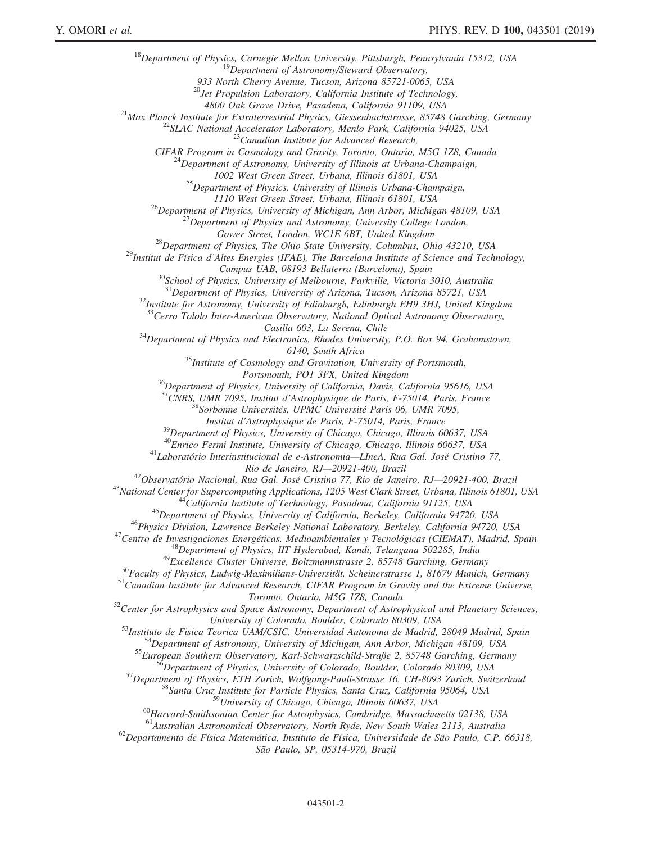<sup>18</sup>Department of Physics, Carnegie Mellon University, Pittsburgh, Pennsylvania 15312, USA<br><sup>19</sup>Department of Astronomy/Steward Observatory, 933 North Cherry Avenue, Tucson, Arizona 85721-0065, USA <sup>20</sup>Jet Propulsion Laboratory, California Institute of Technology,<br>4800 Oak Grove Drive, Pasadena, California 91109, USA <sup>21</sup>Max Planck Institute for Extraterrestrial Physics, Giessenbachstrasse, 85748 Garching, Germany<br><sup>22</sup>SLAC National Accelerator Laboratory, Menlo Park, California 94025, USA<br><sup>23</sup>Canadian Institute for Advanced Research, CIFAR Program in Cosmology and Gravity, Toronto, Ontario, M5G 1Z8, Canada <sup>24</sup>Department of Astronomy, University of Illinois at Urbana-Champaign, 1002 West Green Street, Urbana, Illinois 61801, USA <sup>25</sup>Department of Physics, University of Illinois Urbana-Champaign,

<sup>26</sup>Department of Physics, University of Michigan, Ann Arbor, Michigan 48109, USA<br><sup>27</sup>Department of Physics and Astronomy, University College London,<br>*Gower Street, London, WCIE 6BT, United Kingdom* 

<sup>28</sup>Department of Physics, The Ohio State University, Columbus, Ohio 43210, USA<br><sup>29</sup>Institut de Física d'Altes Energies (IFAE), The Barcelona Institute of Science and Technology,<br>*Campus UAB*, 08193 Bellaterra (Barcelona)

 $^{30}$ School of Physics, University of Melbourne, Parkville, Victoria 3010, Australia<br> $^{31}$ Department of Physics, University of Arizona, Tucson, Arizona 85721, USA

 $32$ Institute for Astronomy, University of Edinburgh, Edinburgh EH9 3HJ, United Kingdom

 $33$ Cerro Tololo Inter-American Observatory, National Optical Astronomy Observatory,

Casilla 603, La Serena, Chile<br><sup>34</sup>Department of Physics and Electronics, Rhodes University, P.O. Box 94, Grahamstown,

6140, South Africa<br><sup>35</sup>Institute of Cosmology and Gravitation, University of Portsmouth,<br>Portsmouth, POI 3FX, United Kingdom

 $^{36}$ Department of Physics, University of California, Davis, California 95616, USA

 $37$ CNRS, UMR 7095, Institut d'Astrophysique de Paris, F-75014, Paris, France  $38$ Sorbonne Universités, UPMC Université Paris 06, UMR 7095,

Institut d'Astrophysique de Paris, F-75014, Paris, France<br><sup>39</sup>Department of Physics, University of Chicago, Chicago, Illinois 60637, USA<br><sup>40</sup>Enrico Fermi Institute, University of Chicago, Chicago, Illinois 60637, USA

<sup>41</sup>Laboratório Interinstitucional de e-Astronomia—LIneA, Rua Gal. José Cristino 77,<br>Rio de Janeiro, RJ—20921-400, Brazil

 $\begin{array}{c} ^{42}Observation\ Nacional,\ Rua\ Gal.\ José\ Cristino\ 77,\ Rio\ de\ Janeiro,\ RJ=20921-400,\ Brazil\\ \ ^{43}National\ Center\ for\ Supercomputing Applications,\ 1205\ West\ Clark\ Street,\ Urbana,\ Illinois\ 61801,\ USA\\ \ ^{44} California\ Institute\ of\ Technology,\ Pasadena,\ California\ 91125,\ USA\\ \ ^{45}Department\ of\ Physics,\ University\ of\ California,\ Berkeley,\ California\ 94720,\ USA\\ \ ^{46}Physics\ Division,\ Lawrence\ Berkeley\ National\ Laboratory,\ Berkeley,\ California\ 94720,\ USA\\ \ ^{47}Centro\ de\ Investigaciones\ Energy\'elicas,\ Medioamb$ 

Toronto, Ontario, M5G 1Z8, Canada<br><sup>52</sup>Center for Astrophysics and Space Astronomy, Department of Astrophysical and Planetary Sciences, University of Colorado, Boulder, Colorado 80309, USA<br>
<sup>53</sup>Instituto de Fisica Teorica UAM/CSIC, Universidad Autonoma de Madrid, 28049 Madrid, Spain<br>
<sup>54</sup>Department of Astronomy, University of Michigan, Ann Arbor, Michigan

 $^{60}$ Harvard-Smithsonian Center for Astrophysics, Cambridge, Massachusetts 02138, USA  $^{61}$ Australian Astronomical Observatory, North Ryde, New South Wales 2113, Australia

 $^{62}$ Departamento de Física Matemática, Instituto de Física, Universidade de São Paulo, C.P. 66318, São Paulo, SP, 05314-970, Brazil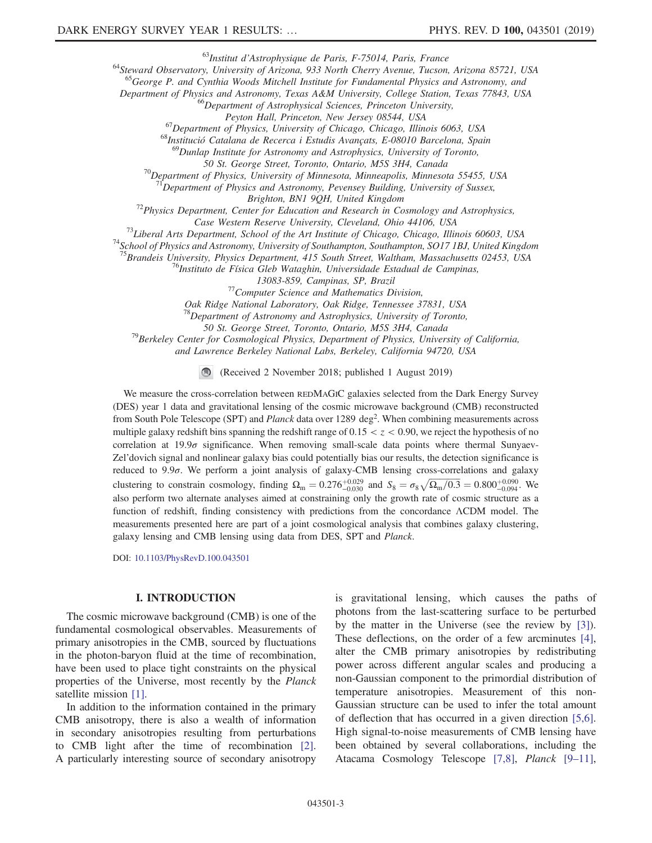$^{63}$ Institut d'Astrophysique de Paris, F-75014, Paris, France<br> $^{64}$ Steward Observatory, University of Arizona, 933 North Cherry Avenue, Tucson, Arizona 85721, USA

 $^{65}$ George P. and Cynthia Woods Mitchell Institute for Fundamental Physics and Astronomy, and

Department of Physics and Astronomy, Texas A&M University, College Station, Texas 77843, USA<br><sup>66</sup>Department of Astrophysical Sciences, Princeton University,

Peyton Hall, Princeton, New Jersey 08544, USA<br><sup>67</sup>Department of Physics, University of Chicago, Chicago, Illinois 6063, USA<br><sup>68</sup>Institució Catalana de Recerca i Estudis Avançats, E-08010 Barcelona, Spain

 $^{69}$ Dunlap Institute for Astronomy and Astrophysics, University of Toronto,

50 St. George Street, Toronto, Ontario, M5S 3H4, Canada<br><sup>70</sup>Department of Physics, University of Minnesota, Minneapolis, Minnesota 55455, USA

 ${}^{1}$ Department of Physics and Astronomy, Pevensey Building, University of Sussex,

Brighton, BN1 9QH, United Kingdom<br><sup>72</sup>Physics Department, Center for Education and Research in Cosmology and Astrophysics,

Case Western Reserve University, Cleveland, Ohio 44106, USA<br><sup>73</sup>Liberal Arts Department, School of the Art Institute of Chicago, Chicago, Illinois 60603, USA<sup>74</sup>School of Physics and Astronomy, University of Southampton, S

<sup>75</sup>Brandeis University, Physics Department, 415 South Street, Waltham, Massachusetts 02453, USA <sup>76</sup>Instituto de Física Gleb Wataghin, Universidade Estadual de Campinas,

13083-859, Campinas, SP, Brazil<br><sup>77</sup>Computer Science and Mathematics Division,

Oak Ridge National Laboratory, Oak Ridge, Tennessee 37831, USA

 $^{78}$ Department of Astronomy and Astrophysics, University of Toronto,

50 St. George Street, Toronto, Ontario, M5S 3H4, Canada<br><sup>79</sup>Berkeley Center for Cosmological Physics, Department of Physics, University of California,

and Lawrence Berkeley National Labs, Berkeley, California 94720, USA

(Received 2 November 2018; published 1 August 2019)

We measure the cross-correlation between REDMAGIC galaxies selected from the Dark Energy Survey (DES) year 1 data and gravitational lensing of the cosmic microwave background (CMB) reconstructed from South Pole Telescope (SPT) and *Planck* data over 1289 deg<sup>2</sup>. When combining measurements across multiple galaxy redshift bins spanning the redshift range of  $0.15 < z < 0.90$ , we reject the hypothesis of no correlation at  $19.9\sigma$  significance. When removing small-scale data points where thermal Sunyaev-Zel'dovich signal and nonlinear galaxy bias could potentially bias our results, the detection significance is reduced to 9.9σ. We perform a joint analysis of galaxy-CMB lensing cross-correlations and galaxy clustering to constrain cosmology, finding  $\Omega_{\rm m} = 0.276_{-0.029}^{+0.029}$  and  $S_8 = \sigma_8 \sqrt{\Omega_{\rm m}/0.3} = 0.800_{-0.094}^{+0.090}$ . We also perform two alternate analyses aimed at constraining only the growth rate of cosmic structure as a function of redshift, finding consistency with predictions from the concordance ΛCDM model. The measurements presented here are part of a joint cosmological analysis that combines galaxy clustering, galaxy lensing and CMB lensing using data from DES, SPT and Planck.

DOI: [10.1103/PhysRevD.100.043501](https://doi.org/10.1103/PhysRevD.100.043501)

# I. INTRODUCTION

<span id="page-2-0"></span>The cosmic microwave background (CMB) is one of the fundamental cosmological observables. Measurements of primary anisotropies in the CMB, sourced by fluctuations in the photon-baryon fluid at the time of recombination, have been used to place tight constraints on the physical properties of the Universe, most recently by the Planck satellite mission [\[1\].](#page-16-0)

In addition to the information contained in the primary CMB anisotropy, there is also a wealth of information in secondary anisotropies resulting from perturbations to CMB light after the time of recombination [\[2\]](#page-16-1). A particularly interesting source of secondary anisotropy is gravitational lensing, which causes the paths of photons from the last-scattering surface to be perturbed by the matter in the Universe (see the review by [\[3\]](#page-16-2)). These deflections, on the order of a few arcminutes [\[4\]](#page-16-3), alter the CMB primary anisotropies by redistributing power across different angular scales and producing a non-Gaussian component to the primordial distribution of temperature anisotropies. Measurement of this non-Gaussian structure can be used to infer the total amount of deflection that has occurred in a given direction [\[5,6\]](#page-16-4). High signal-to-noise measurements of CMB lensing have been obtained by several collaborations, including the Atacama Cosmology Telescope [\[7,8\]](#page-16-5), Planck [9–[11\]](#page-16-6),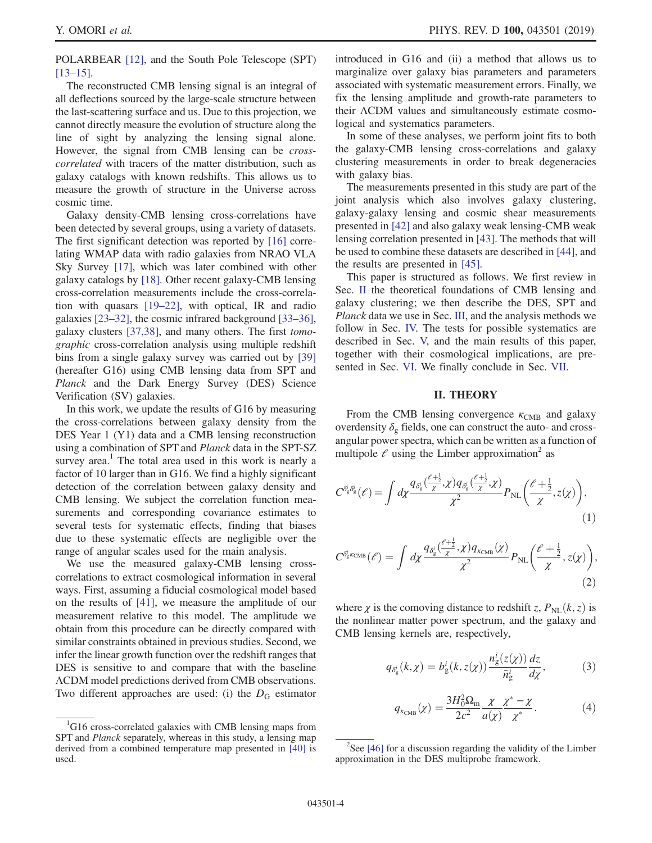POLARBEAR [\[12\]](#page-16-7), and the South Pole Telescope (SPT) [\[13](#page-16-8)–15].

The reconstructed CMB lensing signal is an integral of all deflections sourced by the large-scale structure between the last-scattering surface and us. Due to this projection, we cannot directly measure the evolution of structure along the line of sight by analyzing the lensing signal alone. However, the signal from CMB lensing can be crosscorrelated with tracers of the matter distribution, such as galaxy catalogs with known redshifts. This allows us to measure the growth of structure in the Universe across cosmic time.

Galaxy density-CMB lensing cross-correlations have been detected by several groups, using a variety of datasets. The first significant detection was reported by [\[16\]](#page-16-9) correlating WMAP data with radio galaxies from NRAO VLA Sky Survey [\[17\]](#page-16-10), which was later combined with other galaxy catalogs by [\[18\].](#page-16-11) Other recent galaxy-CMB lensing cross-correlation measurements include the cross-correlation with quasars [19–[22\],](#page-16-12) with optical, IR and radio galaxies [23–[32\],](#page-16-13) the cosmic infrared background [\[33](#page-17-0)–36], galaxy clusters [\[37,38\]](#page-17-1), and many others. The first tomographic cross-correlation analysis using multiple redshift bins from a single galaxy survey was carried out by [\[39\]](#page-17-2) (hereafter G16) using CMB lensing data from SPT and Planck and the Dark Energy Survey (DES) Science Verification (SV) galaxies.

In this work, we update the results of G16 by measuring the cross-correlations between galaxy density from the DES Year 1 (Y1) data and a CMB lensing reconstruction using a combination of SPT and Planck data in the SPT-SZ survey area.<sup>1</sup> The total area used in this work is nearly a factor of 10 larger than in G16. We find a highly significant detection of the correlation between galaxy density and CMB lensing. We subject the correlation function measurements and corresponding covariance estimates to several tests for systematic effects, finding that biases due to these systematic effects are negligible over the range of angular scales used for the main analysis.

We use the measured galaxy-CMB lensing crosscorrelations to extract cosmological information in several ways. First, assuming a fiducial cosmological model based on the results of [\[41\]](#page-17-3), we measure the amplitude of our measurement relative to this model. The amplitude we obtain from this procedure can be directly compared with similar constraints obtained in previous studies. Second, we infer the linear growth function over the redshift ranges that DES is sensitive to and compare that with the baseline ΛCDM model predictions derived from CMB observations. Two different approaches are used: (i) the  $D<sub>G</sub>$  estimator introduced in G16 and (ii) a method that allows us to marginalize over galaxy bias parameters and parameters associated with systematic measurement errors. Finally, we fix the lensing amplitude and growth-rate parameters to their ΛCDM values and simultaneously estimate cosmological and systematics parameters.

In some of these analyses, we perform joint fits to both the galaxy-CMB lensing cross-correlations and galaxy clustering measurements in order to break degeneracies with galaxy bias.

The measurements presented in this study are part of the joint analysis which also involves galaxy clustering, galaxy-galaxy lensing and cosmic shear measurements presented in [\[42\]](#page-17-4) and also galaxy weak lensing-CMB weak lensing correlation presented in [\[43\].](#page-17-5) The methods that will be used to combine these datasets are described in [\[44\]](#page-17-6), and the results are presented in [\[45\].](#page-17-7)

This paper is structured as follows. We first review in Sec. [II](#page-3-0) the theoretical foundations of CMB lensing and galaxy clustering; we then describe the DES, SPT and Planck data we use in Sec. [III](#page-4-0), and the analysis methods we follow in Sec. [IV.](#page-5-0) The tests for possible systematics are described in Sec. [V,](#page-8-0) and the main results of this paper, together with their cosmological implications, are presented in Sec. [VI](#page-10-0). We finally conclude in Sec. [VII.](#page-14-0)

# II. THEORY

<span id="page-3-0"></span>From the CMB lensing convergence  $\kappa_{\rm CMB}$  and galaxy overdensity  $\delta_{\rm g}$  fields, one can construct the auto- and crossangular power spectra, which can be written as a function of multipole  $\ell$  using the Limber approximation<sup>2</sup> as

$$
C^{\delta_{\rm g}^{i}\delta_{\rm g}^{i}}(\ell)=\int d\chi \frac{q_{\delta_{\rm g}^{i}}(\frac{\ell+\frac{1}{2}}{\chi},\chi)q_{\delta_{\rm g}^{i}}(\frac{\ell+\frac{1}{2}}{\chi},\chi)}{\chi^{2}}P_{\rm NL}\left(\frac{\ell+\frac{1}{2}}{\chi},z(\chi)\right),\tag{1}
$$

$$
C^{\delta_{\rm g}^i \kappa_{\rm CMB}}(\ell) = \int d\chi \frac{q_{\delta_{\rm g}^i}(\frac{\ell+\frac{1}{2}}{\chi},\chi) q_{\kappa_{\rm CMB}}(\chi)}{\chi^2} P_{\rm NL} \left(\frac{\ell+\frac{1}{2}}{\chi}, z(\chi)\right),\tag{2}
$$

where  $\chi$  is the comoving distance to redshift z,  $P_{NL}(k, z)$  is the nonlinear matter power spectrum, and the galaxy and CMB lensing kernels are, respectively,

$$
q_{\delta_{\rm g}^{i}}(k,\chi) = b_{\rm g}^{i}(k,z(\chi))\frac{n_{\rm g}^{i}(z(\chi))}{\bar{n}_{\rm g}^{i}}\frac{dz}{d\chi},\tag{3}
$$

$$
q_{\kappa_{\rm CMB}}(\chi) = \frac{3H_0^2 \Omega_{\rm m}}{2c^2} \frac{\chi}{a(\chi)} \frac{\chi^* - \chi}{\chi^*}.
$$
 (4)

<sup>&</sup>lt;sup>1</sup>G16 cross-correlated galaxies with CMB lensing maps from SPT and *Planck* separately, whereas in this study, a lensing map derived from a combined temperature map presented in [\[40\]](#page-17-8) is used.

 $2$ See [\[46\]](#page-17-9) for a discussion regarding the validity of the Limber approximation in the DES multiprobe framework.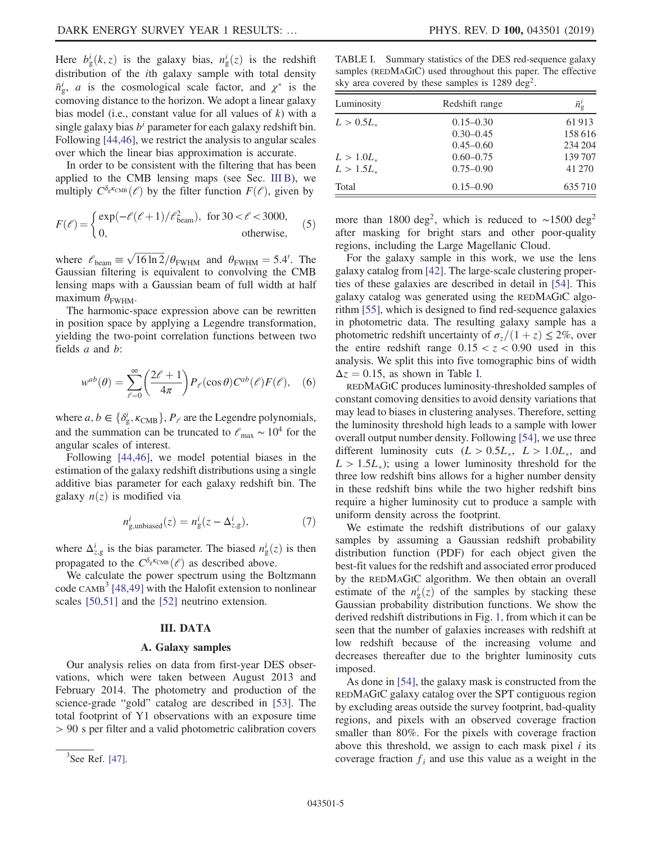Here  $b_g^i(k, z)$  is the galaxy bias,  $n_g^i(z)$  is the redshift<br>distribution of the *i*th galaxy sample with total density distribution of the ith galaxy sample with total density  $\bar{n}$ <sup>i</sup><sub>g</sub>, *a* is the cosmological scale factor, and  $\chi^*$  is the comoving distance to the horizon. We adopt a linear galaxy bias model (i.e., constant value for all values of  $k$ ) with a single galaxy bias  $b^i$  parameter for each galaxy redshift bin. Following [\[44,46\]](#page-17-6), we restrict the analysis to angular scales over which the linear bias approximation is accurate.

In order to be consistent with the filtering that has been applied to the CMB lensing maps (see Sec. [III B\)](#page-5-1), we multiply  $C^{\delta_g \kappa_{\rm CMB}}(\ell)$  by the filter function  $F(\ell)$ , given by

$$
F(\ell) = \begin{cases} \exp(-\ell(\ell+1)/\ell_{\text{beam}}^2), & \text{for } 30 < \ell < 3000, \\ 0, & \text{otherwise,} \end{cases}
$$
 (5)

where  $\ell_{\text{beam}} \equiv \sqrt{16 \ln 2}/\theta_{\text{FWHM}}$  and  $\theta_{\text{FWHM}} = 5.4'$ . The Gaussian filtering is equivalent to convolving the CMB Gaussian filtering is equivalent to convolving the CMB lensing maps with a Gaussian beam of full width at half maximum  $\theta_{FWHM}$ .

<span id="page-4-2"></span>The harmonic-space expression above can be rewritten in position space by applying a Legendre transformation, yielding the two-point correlation functions between two fields a and b:

$$
w^{ab}(\theta) = \sum_{\ell=0}^{\infty} \left(\frac{2\ell+1}{4\pi}\right) P_{\ell}(\cos\theta) C^{ab}(\ell) F(\ell), \quad (6)
$$

where  $a, b \in \{\delta_{g}^{i}, \kappa_{\text{CMB}}\}, P_{\ell}$  are the Legendre polynomials, and the summation can be truncated to  $\ell_{\text{max}} \sim 10^4$  for the angular scales of interest.

Following [\[44,46\],](#page-17-6) we model potential biases in the estimation of the galaxy redshift distributions using a single additive bias parameter for each galaxy redshift bin. The galaxy  $n(z)$  is modified via

$$
n_{\text{g,unbiased}}^i(z) = n_{\text{g}}^i(z - \Delta_{z,\text{g}}^i),\tag{7}
$$

where  $\Delta_{z,g}^i$  is the bias parameter. The biased  $n_g^i(z)$  is then<br>propagated to the  $C^{\delta_{\alpha}K_{\text{CMB}}(\mathcal{L})}$  as described above propagated to the  $C^{\delta_g \kappa_{\rm CMB}}(\ell)$  as described above.

We calculate the power spectrum using the Boltzmann code CAMB<sup>3</sup> [\[48,49\]](#page-17-10) with the Halofit extension to nonlinear scales [\[50,51\]](#page-17-11) and the [\[52\]](#page-17-12) neutrino extension.

### III. DATA

### A. Galaxy samples

<span id="page-4-3"></span><span id="page-4-0"></span>Our analysis relies on data from first-year DES observations, which were taken between August 2013 and February 2014. The photometry and production of the science-grade "gold" catalog are described in [\[53\]](#page-17-13). The total footprint of Y1 observations with an exposure time > 90 s per filter and a valid photometric calibration covers

<span id="page-4-1"></span>TABLE I. Summary statistics of the DES red-sequence galaxy samples (REDMAGIC) used throughout this paper. The effective sky area covered by these samples is  $1289 \text{ deg}^2$ .

| Luminosity     | Redshift range | $\bar{n}^i_{\rm g}$ |
|----------------|----------------|---------------------|
| $L > 0.5L_{*}$ | $0.15 - 0.30$  | 61913               |
|                | $0.30 - 0.45$  | 158 616             |
|                | $0.45 - 0.60$  | 234 204             |
| $L > 1.0L_*$   | $0.60 - 0.75$  | 139 707             |
| $L > 1.5L_{*}$ | $0.75 - 0.90$  | 41 270              |
| Total          | $0.15 - 0.90$  | 635710              |

more than 1800 deg<sup>2</sup>, which is reduced to ~1500 deg<sup>2</sup> after masking for bright stars and other poor-quality regions, including the Large Magellanic Cloud.

For the galaxy sample in this work, we use the lens galaxy catalog from [\[42\].](#page-17-4) The large-scale clustering properties of these galaxies are described in detail in [\[54\]](#page-17-14). This galaxy catalog was generated using the REDMAGIC algorithm [\[55\]](#page-17-15), which is designed to find red-sequence galaxies in photometric data. The resulting galaxy sample has a photometric redshift uncertainty of  $\sigma_z/(1+z) \leq 2\%$ , over the entire redshift range  $0.15 < z < 0.90$  used in this analysis. We split this into five tomographic bins of width  $\Delta z = 0.15$ , as shown in Table [I](#page-4-1).

REDMAGIC produces luminosity-thresholded samples of constant comoving densities to avoid density variations that may lead to biases in clustering analyses. Therefore, setting the luminosity threshold high leads to a sample with lower overall output number density. Following [\[54\]](#page-17-14), we use three different luminosity cuts  $(L > 0.5L_*, L > 1.0L_*)$ , and  $L > 1.5L$ ); using a lower luminosity threshold for the  $L > 1.5L_*$ ); using a lower luminosity threshold for the three low redshift hins allows for a higher number density three low redshift bins allows for a higher number density in these redshift bins while the two higher redshift bins require a higher luminosity cut to produce a sample with uniform density across the footprint.

We estimate the redshift distributions of our galaxy samples by assuming a Gaussian redshift probability distribution function (PDF) for each object given the best-fit values for the redshift and associated error produced by the REDMAGIC algorithm. We then obtain an overall estimate of the  $n_g^i(z)$  of the samples by stacking these<br>Gaussian probability distribution functions. We show the Gaussian probability distribution functions. We show the derived redshift distributions in Fig. [1](#page-5-2), from which it can be seen that the number of galaxies increases with redshift at low redshift because of the increasing volume and decreases thereafter due to the brighter luminosity cuts imposed.

As done in [\[54\]](#page-17-14), the galaxy mask is constructed from the REDMAGIC galaxy catalog over the SPT contiguous region by excluding areas outside the survey footprint, bad-quality regions, and pixels with an observed coverage fraction smaller than 80%. For the pixels with coverage fraction above this threshold, we assign to each mask pixel  $i$  its coverage fraction  $f_i$  and use this value as a weight in the

 ${}^{3}$ See Ref. [\[47\].](#page-17-16)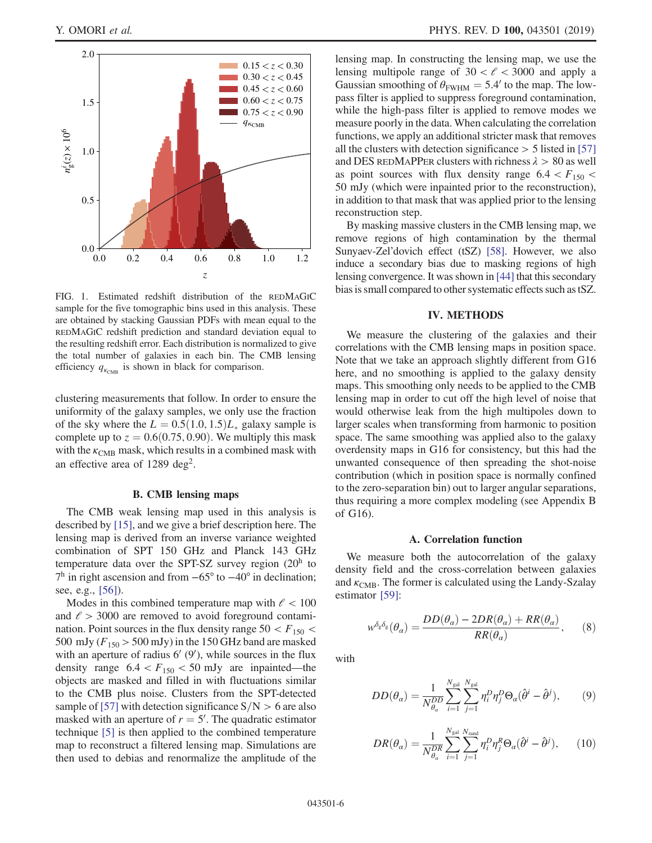<span id="page-5-2"></span>

FIG. 1. Estimated redshift distribution of the REDMAGIC sample for the five tomographic bins used in this analysis. These are obtained by stacking Gaussian PDFs with mean equal to the REDMAGIC redshift prediction and standard deviation equal to the resulting redshift error. Each distribution is normalized to give the total number of galaxies in each bin. The CMB lensing efficiency  $q_{\kappa_{\rm CMB}}$  is shown in black for comparison.

clustering measurements that follow. In order to ensure the uniformity of the galaxy samples, we only use the fraction of the sky where the  $L = 0.5(1.0, 1.5)L_*$  galaxy sample is complete up to  $z = 0.6(0.75, 0.90)$ . We multiply this mask complete up to  $z = 0.6(0.75, 0.90)$ . We multiply this mask with the  $\kappa_{\rm CMB}$  mask, which results in a combined mask with an effective area of  $1289 \text{ deg}^2$ .

## B. CMB lensing maps

<span id="page-5-1"></span>The CMB weak lensing map used in this analysis is described by [\[15\]](#page-16-14), and we give a brief description here. The lensing map is derived from an inverse variance weighted combination of SPT 150 GHz and Planck 143 GHz temperature data over the SPT-SZ survey region  $(20<sup>h</sup>$  to  $7<sup>h</sup>$  in right ascension and from  $-65^{\circ}$  to  $-40^{\circ}$  in declination; see, e.g., [\[56\]](#page-17-17)).

Modes in this combined temperature map with  $\ell < 100$ and  $\ell > 3000$  are removed to avoid foreground contamination. Point sources in the flux density range  $50 < F_{150} <$ 500 mJy  $(F_{150} > 500$  mJy) in the 150 GHz band are masked with an aperture of radius  $6'$  (9'), while sources in the flux density range  $6.4 < F_{150} < 50$  mJy are inpainted—the objects are masked and filled in with fluctuations similar to the CMB plus noise. Clusters from the SPT-detected sample of [\[57\]](#page-17-18) with detection significance  $S/N > 6$  are also masked with an aperture of  $r = 5'$ . The quadratic estimator<br>technique [5] is then applied to the combined temperature technique [\[5\]](#page-16-4) is then applied to the combined temperature map to reconstruct a filtered lensing map. Simulations are then used to debias and renormalize the amplitude of the lensing map. In constructing the lensing map, we use the lensing multipole range of  $30 < \ell < 3000$  and apply a Gaussian smoothing of  $\theta_{\text{FWHM}} = 5.4'$  to the map. The lowpass filter is applied to suppress foreground contamination, while the high-pass filter is applied to remove modes we measure poorly in the data. When calculating the correlation functions, we apply an additional stricter mask that removes all the clusters with detection significance  $> 5$  listed in [\[57\]](#page-17-18) and DES REDMAPPER clusters with richness  $\lambda > 80$  as well as point sources with flux density range  $6.4 < F_{150} <$ 50 mJy (which were inpainted prior to the reconstruction), in addition to that mask that was applied prior to the lensing reconstruction step.

By masking massive clusters in the CMB lensing map, we remove regions of high contamination by the thermal Sunyaev-Zel'dovich effect (tSZ) [\[58\].](#page-17-19) However, we also induce a secondary bias due to masking regions of high lensing convergence. It was shown in [\[44\]](#page-17-6) that this secondary bias is small compared to other systematic effects such as tSZ.

## IV. METHODS

<span id="page-5-0"></span>We measure the clustering of the galaxies and their correlations with the CMB lensing maps in position space. Note that we take an approach slightly different from G16 here, and no smoothing is applied to the galaxy density maps. This smoothing only needs to be applied to the CMB lensing map in order to cut off the high level of noise that would otherwise leak from the high multipoles down to larger scales when transforming from harmonic to position space. The same smoothing was applied also to the galaxy overdensity maps in G16 for consistency, but this had the unwanted consequence of then spreading the shot-noise contribution (which in position space is normally confined to the zero-separation bin) out to larger angular separations, thus requiring a more complex modeling (see Appendix B of G16).

## A. Correlation function

We measure both the autocorrelation of the galaxy density field and the cross-correlation between galaxies and  $\kappa_{\rm CMB}$ . The former is calculated using the Landy-Szalay estimator [\[59\]](#page-17-20):

$$
w^{\delta_{\rm g}\delta_{\rm g}}(\theta_{\alpha}) = \frac{DD(\theta_{\alpha}) - 2DR(\theta_{\alpha}) + RR(\theta_{\alpha})}{RR(\theta_{\alpha})},\qquad(8)
$$

with

$$
DD(\theta_{\alpha}) = \frac{1}{N_{\theta_{\alpha}}^{DD}} \sum_{i=1}^{N_{\text{gal}}} \sum_{j=1}^{N_{\text{gal}}} \eta_i^D \eta_j^D \Theta_{\alpha} (\hat{\theta}^i - \hat{\theta}^j), \qquad (9)
$$

$$
DR(\theta_{\alpha}) = \frac{1}{N_{\theta_{\alpha}}^{DR}} \sum_{i=1}^{N_{\text{gal}}} \sum_{j=1}^{N_{\text{rand}}} \eta_i^D \eta_j^R \Theta_{\alpha} (\hat{\theta}^i - \hat{\theta}^j), \qquad (10)
$$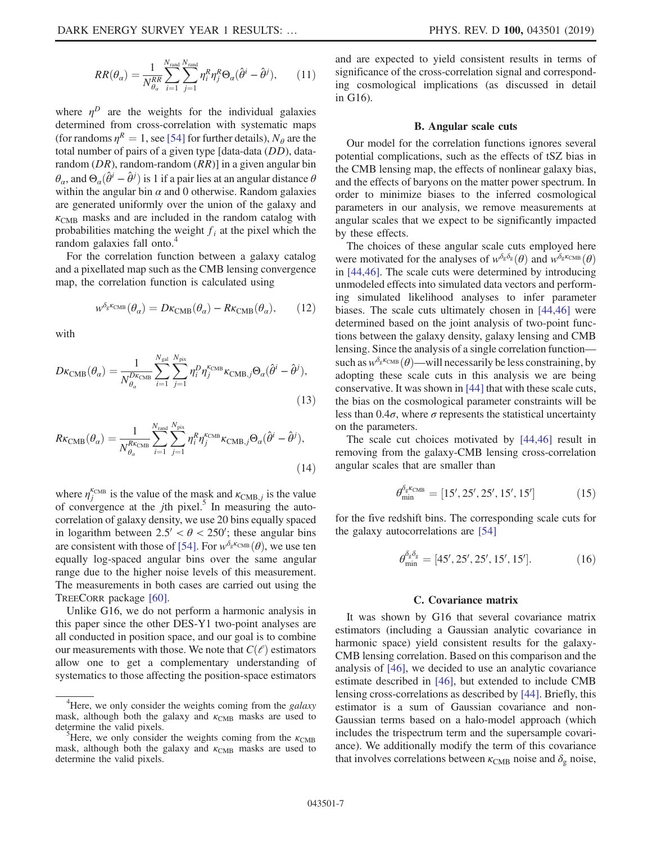$$
RR(\theta_{\alpha}) = \frac{1}{N_{\theta_{\alpha}}^{RR}} \sum_{i=1}^{N_{\text{rand}}} \sum_{j=1}^{N_{\text{rand}}} \eta_i^R \eta_j^R \Theta_{\alpha} (\hat{\theta}^i - \hat{\theta}^j), \qquad (11)
$$

where  $\eta^D$  are the weights for the individual galaxies determined from cross-correlation with systematic maps (for randoms  $\eta^R = 1$ , see [\[54\]](#page-17-14) for further details),  $N_\theta$  are the total number of pairs of a given type [data-data (DD), datarandom  $(DR)$ , random-random  $(RR)$ ] in a given angular bin  $\theta_{\alpha}$ , and  $\Theta_{\alpha}(\hat{\theta}^i - \hat{\theta}^j)$  is 1 if a pair lies at an angular distance  $\theta$  within the angular bin  $\alpha$  and 0 otherwise. Random galaxies within the angular bin  $\alpha$  and 0 otherwise. Random galaxies are generated uniformly over the union of the galaxy and  $\kappa_{\rm CMB}$  masks and are included in the random catalog with probabilities matching the weight  $f_i$  at the pixel which the random galaxies fall onto.<sup>4</sup>

For the correlation function between a galaxy catalog and a pixellated map such as the CMB lensing convergence map, the correlation function is calculated using

$$
w^{\delta_{\rm g} \kappa_{\rm CMB}}(\theta_a) = D\kappa_{\rm CMB}(\theta_a) - R\kappa_{\rm CMB}(\theta_a),\qquad(12)
$$

with

$$
D\kappa_{\rm CMB}(\theta_{\alpha}) = \frac{1}{N_{\theta_{\alpha}}^{D\kappa_{\rm CMB}}} \sum_{i=1}^{N_{\rm gal}} \sum_{j=1}^{N_{\rm pix}} \eta_i^D \eta_j^{\kappa_{\rm CMB}} \kappa_{\rm CMB,j} \Theta_{\alpha}(\hat{\theta}^i - \hat{\theta}^j),
$$
\n(13)

$$
R\kappa_{\rm CMB}(\theta_a) = \frac{1}{N_{\theta_a}^{R\kappa_{\rm CMB}}} \sum_{i=1}^{N_{\rm rand}} \sum_{j=1}^{N_{\rm pix}} \eta_i^R \eta_j^{\kappa_{\rm CMB}} \kappa_{\rm CMB,j} \Theta_a(\hat{\theta}^i - \hat{\theta}^j),
$$
\n(14)

where  $\eta_j^{\kappa_{\text{CMB}}}$  is the value of the mask and  $\kappa_{\text{CMB},j}$  is the value of convergence at the *j*th pixel.<sup>5</sup> In measuring the autocorrelation of galaxy density, we use 20 bins equally spaced in logarithm between  $2.5' < \theta < 250'$ ; these angular bins are consistent with those of [\[54\]](#page-17-14). For  $w^{\delta_g \kappa_{CMB}}(\theta)$ , we use ten equally log-spaced angular bins over the same angular range due to the higher noise levels of this measurement. The measurements in both cases are carried out using the TREECORR package [\[60\].](#page-17-21)

Unlike G16, we do not perform a harmonic analysis in this paper since the other DES-Y1 two-point analyses are all conducted in position space, and our goal is to combine our measurements with those. We note that  $C(\ell)$  estimators allow one to get a complementary understanding of systematics to those affecting the position-space estimators and are expected to yield consistent results in terms of significance of the cross-correlation signal and corresponding cosmological implications (as discussed in detail in G16).

## B. Angular scale cuts

<span id="page-6-0"></span>Our model for the correlation functions ignores several potential complications, such as the effects of tSZ bias in the CMB lensing map, the effects of nonlinear galaxy bias, and the effects of baryons on the matter power spectrum. In order to minimize biases to the inferred cosmological parameters in our analysis, we remove measurements at angular scales that we expect to be significantly impacted by these effects.

The choices of these angular scale cuts employed here were motivated for the analyses of  $w^{\delta_g \delta_g}(\theta)$  and  $w^{\delta_g \kappa_{CMB}}(\theta)$ in [\[44,46\].](#page-17-6) The scale cuts were determined by introducing unmodeled effects into simulated data vectors and performing simulated likelihood analyses to infer parameter biases. The scale cuts ultimately chosen in [\[44,46\]](#page-17-6) were determined based on the joint analysis of two-point functions between the galaxy density, galaxy lensing and CMB lensing. Since the analysis of a single correlation function such as  $w^{\delta_g \kappa_{\rm CMB}}(\theta)$ —will necessarily be less constraining, by adopting these scale cuts in this analysis we are being conservative. It was shown in [\[44\]](#page-17-6) that with these scale cuts, the bias on the cosmological parameter constraints will be less than  $0.4\sigma$ , where  $\sigma$  represents the statistical uncertainty on the parameters.

The scale cut choices motivated by [\[44,46\]](#page-17-6) result in removing from the galaxy-CMB lensing cross-correlation angular scales that are smaller than

$$
\theta_{\min}^{\delta_g \kappa_{\rm CMB}} = [15', 25', 25', 15', 15'] \tag{15}
$$

for the five redshift bins. The corresponding scale cuts for the galaxy autocorrelations are [\[54\]](#page-17-14)

$$
\theta_{\min}^{\delta_{\rm g}\delta_{\rm g}} = [45', 25', 25', 15', 15'].
$$
 (16)

### C. Covariance matrix

It was shown by G16 that several covariance matrix estimators (including a Gaussian analytic covariance in harmonic space) yield consistent results for the galaxy-CMB lensing correlation. Based on this comparison and the analysis of [\[46\],](#page-17-9) we decided to use an analytic covariance estimate described in [\[46\],](#page-17-9) but extended to include CMB lensing cross-correlations as described by [\[44\]](#page-17-6). Briefly, this estimator is a sum of Gaussian covariance and non-Gaussian terms based on a halo-model approach (which includes the trispectrum term and the supersample covariance). We additionally modify the term of this covariance that involves correlations between  $\kappa_{\rm CMB}$  noise and  $\delta_{\rm g}$  noise,

 $4$ Here, we only consider the weights coming from the *galaxy* mask, although both the galaxy and  $\kappa_{\rm CMB}$  masks are used to determine the valid pixels.

Here, we only consider the weights coming from the  $\kappa_{\rm CMB}$ mask, although both the galaxy and  $\kappa_{\rm CMB}$  masks are used to determine the valid pixels.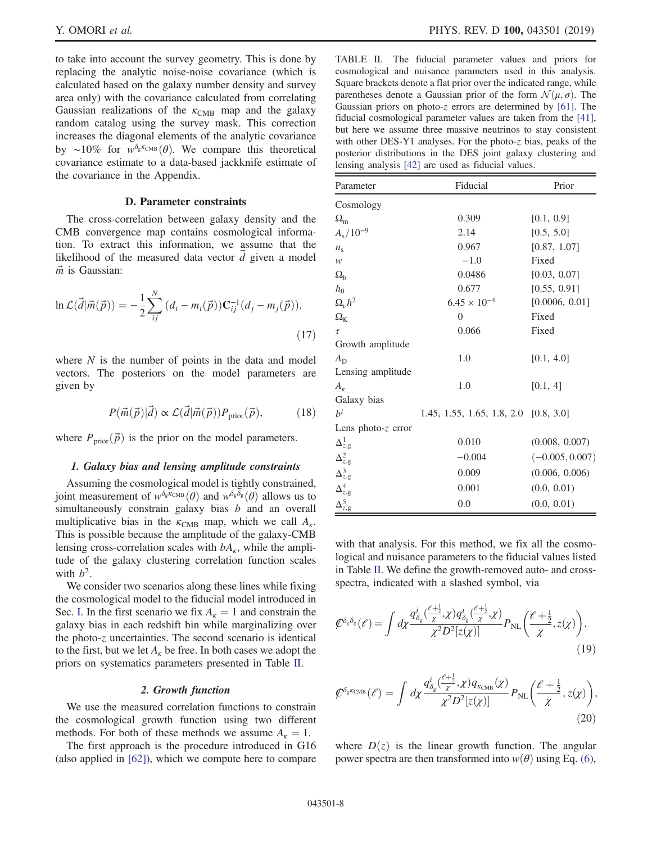to take into account the survey geometry. This is done by replacing the analytic noise-noise covariance (which is calculated based on the galaxy number density and survey area only) with the covariance calculated from correlating Gaussian realizations of the  $\kappa_{\rm CMB}$  map and the galaxy random catalog using the survey mask. This correction increases the diagonal elements of the analytic covariance by ∼10% for  $w^{\delta_g \kappa_{\rm CMB}}(\theta)$ . We compare this theoretical covariance estimate to a data-based jackknife estimate of the covariance in the Appendix.

### D. Parameter constraints

The cross-correlation between galaxy density and the CMB convergence map contains cosmological information. To extract this information, we assume that the likelihood of the measured data vector  $\hat{d}$  given a model  $\vec{m}$  is Gaussian:

$$
\ln \mathcal{L}(\vec{d}|\vec{m}(\vec{p})) = -\frac{1}{2} \sum_{ij}^{N} (d_i - m_i(\vec{p})) \mathbf{C}_{ij}^{-1} (d_j - m_j(\vec{p})),
$$
\n(17)

where  $N$  is the number of points in the data and model vectors. The posteriors on the model parameters are given by

$$
P(\vec{m}(\vec{p})|\vec{d}) \propto \mathcal{L}(\vec{d}|\vec{m}(\vec{p}))P_{\text{prior}}(\vec{p}),\tag{18}
$$

where  $P_{\text{prior}}(\vec{p})$  is the prior on the model parameters.

## 1. Galaxy bias and lensing amplitude constraints

Assuming the cosmological model is tightly constrained, joint measurement of  $w^{\delta_g \kappa_{\text{CMB}}}(\theta)$  and  $w^{\delta_g \delta_g}(\theta)$  allows us to simultaneously constrain galaxy bias  $b$  and an overall multiplicative bias in the  $\kappa_{\text{CMB}}$  map, which we call  $A_{\kappa}$ . This is possible because the amplitude of the galaxy-CMB lensing cross-correlation scales with  $bA_{k}$ , while the amplitude of the galaxy clustering correlation function scales with  $b^2$ .

We consider two scenarios along these lines while fixing the cosmological model to the fiducial model introduced in Sec. [I.](#page-2-0) In the first scenario we fix  $A_k = 1$  and constrain the galaxy bias in each redshift bin while marginalizing over the photo-z uncertainties. The second scenario is identical to the first, but we let  $A_k$  be free. In both cases we adopt the priors on systematics parameters presented in Table [II.](#page-7-0)

## 2. Growth function

<span id="page-7-1"></span>We use the measured correlation functions to constrain the cosmological growth function using two different methods. For both of these methods we assume  $A_k = 1$ .

The first approach is the procedure introduced in G16 (also applied in [\[62\]](#page-17-22)), which we compute here to compare

<span id="page-7-0"></span>TABLE II. The fiducial parameter values and priors for cosmological and nuisance parameters used in this analysis. Square brackets denote a flat prior over the indicated range, while parentheses denote a Gaussian prior of the form  $\mathcal{N}(\mu, \sigma)$ . The Gaussian priors on photo-z errors are determined by [\[61\]](#page-17-23). The fiducial cosmological parameter values are taken from the [\[41\],](#page-17-3) but here we assume three massive neutrinos to stay consistent with other DES-Y1 analyses. For the photo-z bias, peaks of the posterior distributions in the DES joint galaxy clustering and lensing analysis [\[42\]](#page-17-4) are used as fiducial values.

| Parameter             | Fiducial                              | Prior             |
|-----------------------|---------------------------------------|-------------------|
| Cosmology             |                                       |                   |
| $\Omega_{\rm m}$      | 0.309                                 | [0.1, 0.9]        |
| $A_{\rm s}/10^{-9}$   | 2.14                                  | [0.5, 5.0]        |
| $n_{\rm s}$           | 0.967                                 | [0.87, 1.07]      |
| W                     | $-1.0$                                | Fixed             |
| $\Omega_{\rm h}$      | 0.0486                                | [0.03, 0.07]      |
| $h_0$                 | 0.677                                 | [0.55, 0.91]      |
| $\Omega_{\nu}h^2$     | $6.45 \times 10^{-4}$                 | [0.0006, 0.01]    |
| $\Omega_{\rm K}$      | $\overline{0}$                        | Fixed             |
| $\tau$                | 0.066                                 | Fixed             |
| Growth amplitude      |                                       |                   |
| $A_{\rm D}$           | 1.0                                   | [0.1, 4.0]        |
| Lensing amplitude     |                                       |                   |
| $A_{\kappa}$          | 1.0                                   | [0.1, 4]          |
| Galaxy bias           |                                       |                   |
| $h^{i}$               | 1.45, 1.55, 1.65, 1.8, 2.0 [0.8, 3.0] |                   |
| Lens photo- $z$ error |                                       |                   |
| $\Delta^1_{z,g}$      | 0.010                                 | (0.008, 0.007)    |
| $\Delta_{z,g}^2$      | $-0.004$                              | $(-0.005, 0.007)$ |
| $\Delta_{z,g}^3$      | 0.009                                 | (0.006, 0.006)    |
| $\Delta_{z,g}^4$      | 0.001                                 | (0.0, 0.01)       |
| $\Delta_{z,g}^5$      | 0.0                                   | (0.0, 0.01)       |

with that analysis. For this method, we fix all the cosmological and nuisance parameters to the fiducial values listed in Table [II.](#page-7-0) We define the growth-removed auto- and crossspectra, indicated with a slashed symbol, via

$$
\mathcal{L}^{\delta_{\rm g}\delta_{\rm g}}(\mathcal{C}) = \int d\chi \frac{q_{\delta_{\rm g}}^i(\frac{\mathcal{C}+\frac{1}{2}}{\chi},\chi) q_{\delta_{\rm g}}^i(\frac{\mathcal{C}+\frac{1}{2}}{\chi},\chi)}{\chi^2 D^2[z(\chi)]} P_{\rm NL}\left(\frac{\mathcal{C}+\frac{1}{2}}{\chi},z(\chi)\right),\tag{19}
$$

$$
\mathcal{L}^{\delta_{\rm g}\kappa_{\rm CMB}}(\ell) = \int d\chi \frac{q_{\delta_{\rm g}}^i(\frac{\ell+\frac{1}{2}}{\chi},\chi)q_{\kappa_{\rm CMB}}(\chi)}{\chi^2 D^2[z(\chi)]} P_{\rm NL}\bigg(\frac{\ell+\frac{1}{2}}{\chi},z(\chi)\bigg),\tag{20}
$$

where  $D(z)$  is the linear growth function. The angular power spectra are then transformed into  $w(\theta)$  using Eq. [\(6\)](#page-4-2),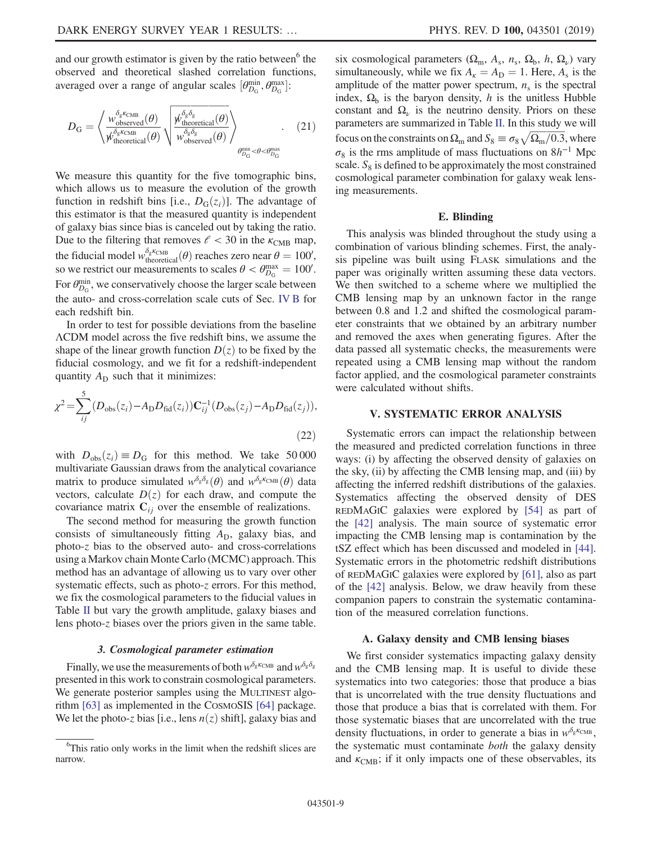and our growth estimator is given by the ratio between<sup>6</sup> the observed and theoretical slashed correlation functions, averaged over a range of angular scales  $[\theta_{D_G}^{\text{min}}, \theta_{D_G}^{\text{max}}]$ :

$$
D_{\rm G} = \left\langle \frac{\omega_{\rm observed}^{\delta_{\rm g} K_{\rm CMB}}}{\omega_{\rm theoretical}^{\delta_{\rm g} K_{\rm CMB}}(\theta)} \sqrt{\frac{\omega_{\rm theoretical}^{\delta_{\rm g} \delta_{\rm g}}(\theta)}{\omega_{\rm observed}^{\delta_{\rm g} \delta_{\rm g}}(\theta)}} \right\rangle_{\theta_{\rm D_G}^{\rm min} < \theta < \theta_{\rm DG}^{\rm max}}.
$$
 (21)

We measure this quantity for the five tomographic bins, which allows us to measure the evolution of the growth function in redshift bins [i.e.,  $D_G(z_i)$ ]. The advantage of this estimator is that the measured quantity is independent of galaxy bias since bias is canceled out by taking the ratio. Due to the filtering that removes  $\ell < 30$  in the  $\kappa_{\rm CMB}$  map, the fiducial model  $w_{\text{theoretical}}^{\delta_g \kappa_{\text{CMB}}}(\theta)$  reaches zero near  $\theta = 100'$ ,<br>so we restrict our measurements to scales  $\theta < \theta_{\text{max}} - 100'$ so we restrict our measurements to scales  $\theta < \theta_{\text{DG}}^{\text{max}} = 100'$ .<br>For  $\theta_{\text{D}}^{\text{min}}$  we concernatively choose the larger scale between For  $\theta_{D_G}^{\min}$ , we conservatively choose the larger scale between the auto- and cross-correlation scale cuts of Sec. [IV B](#page-6-0) for each redshift bin.

In order to test for possible deviations from the baseline ΛCDM model across the five redshift bins, we assume the shape of the linear growth function  $D(z)$  to be fixed by the fiducial cosmology, and we fit for a redshift-independent quantity  $A_D$  such that it minimizes:

$$
\chi^{2} = \sum_{ij}^{5} (D_{obs}(z_{i}) - A_{D}D_{fid}(z_{i})) \mathbf{C}_{ij}^{-1} (D_{obs}(z_{j}) - A_{D}D_{fid}(z_{j})),
$$
\n(22)

with  $D_{obs}(z_i) \equiv D_G$  for this method. We take 50 000 multivariate Gaussian draws from the analytical covariance matrix to produce simulated  $w^{\delta_g \delta_g}(\theta)$  and  $w^{\delta_g \kappa_{\text{CMB}}}(\theta)$  data vectors, calculate  $D(z)$  for each draw, and compute the covariance matrix  $C_{ij}$  over the ensemble of realizations.

The second method for measuring the growth function consists of simultaneously fitting  $A<sub>D</sub>$ , galaxy bias, and photo-z bias to the observed auto- and cross-correlations using a Markov chain Monte Carlo (MCMC) approach. This method has an advantage of allowing us to vary over other systematic effects, such as photo-z errors. For this method, we fix the cosmological parameters to the fiducial values in Table [II](#page-7-0) but vary the growth amplitude, galaxy biases and lens photo-z biases over the priors given in the same table.

## 3. Cosmological parameter estimation

Finally, we use the measurements of both  $w^{\delta_g \kappa_{\text{CMB}}}$  and  $w^{\delta_g \delta_g}$ presented in this work to constrain cosmological parameters. We generate posterior samples using the MULTINEST algorithm [\[63\]](#page-17-24) as implemented in the COSMOSIS [\[64\]](#page-17-25) package. We let the photo-z bias [i.e., lens  $n(z)$  shift], galaxy bias and six cosmological parameters ( $\Omega_{\rm m}$ ,  $A_{\rm s}$ ,  $n_{\rm s}$ ,  $\Omega_{\rm b}$ ,  $h$ ,  $\Omega_{\nu}$ ) vary simultaneously, while we fix  $A_k = A_D = 1$ . Here,  $A_s$  is the amplitude of the matter power spectrum,  $n<sub>s</sub>$  is the spectral index,  $\Omega_{\rm b}$  is the baryon density, h is the unitless Hubble constant and  $\Omega_{\nu}$  is the neutrino density. Priors on these parameters are summarized in Table [II.](#page-7-0) In this study we will focus on the constraints on  $\Omega_{\rm m}$  and  $S_8 \equiv \sigma_8 \sqrt{\Omega_{\rm m}/0.3}$ , where  $\sigma_8$  is the rms amplitude of mass fluctuations on 8h<sup>-1</sup> Mpc scale.  $S_8$  is defined to be approximately the most constrained cosmological parameter combination for galaxy weak lensing measurements.

# E. Blinding

This analysis was blinded throughout the study using a combination of various blinding schemes. First, the analysis pipeline was built using FLASK simulations and the paper was originally written assuming these data vectors. We then switched to a scheme where we multiplied the CMB lensing map by an unknown factor in the range between 0.8 and 1.2 and shifted the cosmological parameter constraints that we obtained by an arbitrary number and removed the axes when generating figures. After the data passed all systematic checks, the measurements were repeated using a CMB lensing map without the random factor applied, and the cosmological parameter constraints were calculated without shifts.

# V. SYSTEMATIC ERROR ANALYSIS

<span id="page-8-0"></span>Systematic errors can impact the relationship between the measured and predicted correlation functions in three ways: (i) by affecting the observed density of galaxies on the sky, (ii) by affecting the CMB lensing map, and (iii) by affecting the inferred redshift distributions of the galaxies. Systematics affecting the observed density of DES REDMAGIC galaxies were explored by [\[54\]](#page-17-14) as part of the [\[42\]](#page-17-4) analysis. The main source of systematic error impacting the CMB lensing map is contamination by the tSZ effect which has been discussed and modeled in [\[44\]](#page-17-6). Systematic errors in the photometric redshift distributions of REDMAGIC galaxies were explored by [\[61\],](#page-17-23) also as part of the [\[42\]](#page-17-4) analysis. Below, we draw heavily from these companion papers to constrain the systematic contamination of the measured correlation functions.

## A. Galaxy density and CMB lensing biases

We first consider systematics impacting galaxy density and the CMB lensing map. It is useful to divide these systematics into two categories: those that produce a bias that is uncorrelated with the true density fluctuations and those that produce a bias that is correlated with them. For those systematic biases that are uncorrelated with the true density fluctuations, in order to generate a bias in  $w^{\delta_g \kappa_{\text{CMB}}}$ , the systematic must contaminate both the galaxy density and  $\kappa_{\text{CMB}}$ ; if it only impacts one of these observables, its

<sup>&</sup>lt;sup>6</sup>This ratio only works in the limit when the redshift slices are narrow.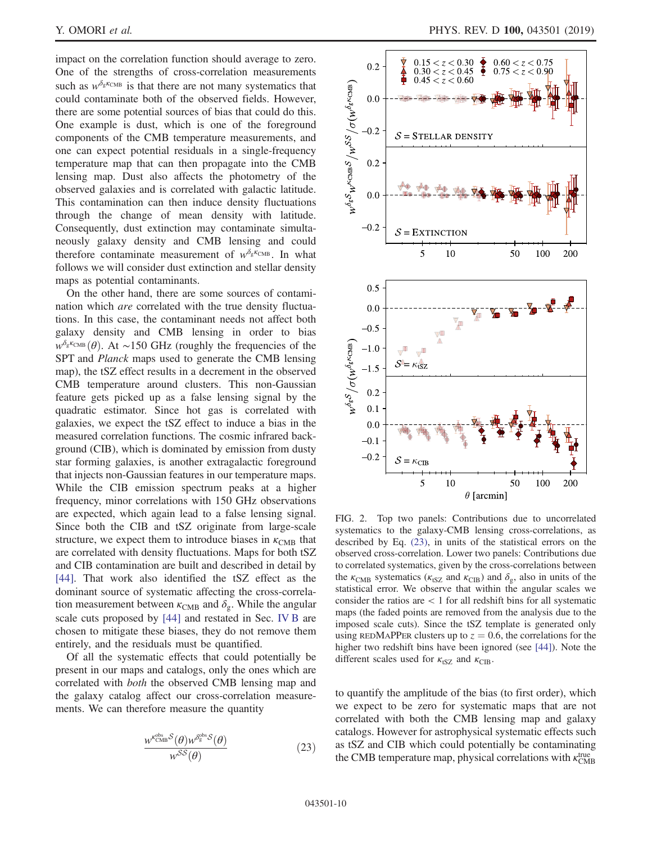impact on the correlation function should average to zero. One of the strengths of cross-correlation measurements such as  $w^{\delta_g \kappa_{\rm CMB}}$  is that there are not many systematics that could contaminate both of the observed fields. However, there are some potential sources of bias that could do this. One example is dust, which is one of the foreground components of the CMB temperature measurements, and one can expect potential residuals in a single-frequency temperature map that can then propagate into the CMB lensing map. Dust also affects the photometry of the observed galaxies and is correlated with galactic latitude. This contamination can then induce density fluctuations through the change of mean density with latitude. Consequently, dust extinction may contaminate simultaneously galaxy density and CMB lensing and could therefore contaminate measurement of  $w^{\delta_g \kappa_{\rm CMB}}$ . In what follows we will consider dust extinction and stellar density maps as potential contaminants.

On the other hand, there are some sources of contamination which are correlated with the true density fluctuations. In this case, the contaminant needs not affect both galaxy density and CMB lensing in order to bias  $w^{\delta_g \kappa_{\rm CMB}}(\theta)$ . At ∼150 GHz (roughly the frequencies of the SPT and *Planck* mans used to generate the CMB lensing SPT and *Planck* maps used to generate the CMB lensing map), the tSZ effect results in a decrement in the observed CMB temperature around clusters. This non-Gaussian feature gets picked up as a false lensing signal by the quadratic estimator. Since hot gas is correlated with galaxies, we expect the tSZ effect to induce a bias in the measured correlation functions. The cosmic infrared background (CIB), which is dominated by emission from dusty star forming galaxies, is another extragalactic foreground that injects non-Gaussian features in our temperature maps. While the CIB emission spectrum peaks at a higher frequency, minor correlations with 150 GHz observations are expected, which again lead to a false lensing signal. Since both the CIB and tSZ originate from large-scale structure, we expect them to introduce biases in  $\kappa_{\text{CMB}}$  that are correlated with density fluctuations. Maps for both tSZ and CIB contamination are built and described in detail by [\[44\]](#page-17-6). That work also identified the tSZ effect as the dominant source of systematic affecting the cross-correlation measurement between  $\kappa_{\rm CMB}$  and  $\delta_{\rm g}$ . While the angular scale cuts proposed by [\[44\]](#page-17-6) and restated in Sec. [IV B](#page-6-0) are chosen to mitigate these biases, they do not remove them entirely, and the residuals must be quantified.

<span id="page-9-0"></span>Of all the systematic effects that could potentially be present in our maps and catalogs, only the ones which are correlated with both the observed CMB lensing map and the galaxy catalog affect our cross-correlation measurements. We can therefore measure the quantity

$$
\frac{w^{\kappa_{\rm CMB}^{\rm obs}}S(\theta)w^{\delta_{\rm g}^{\rm obs}}S(\theta)}{w^{SS}(\theta)}
$$
\n(23)

<span id="page-9-1"></span>

FIG. 2. Top two panels: Contributions due to uncorrelated systematics to the galaxy-CMB lensing cross-correlations, as described by Eq. [\(23\),](#page-9-0) in units of the statistical errors on the observed cross-correlation. Lower two panels: Contributions due to correlated systematics, given by the cross-correlations between the  $\kappa_{\text{CMB}}$  systematics ( $\kappa_{\text{tSZ}}$  and  $\kappa_{\text{CIB}}$ ) and  $\delta_{\text{g}}$ , also in units of the statistical error. We observe that within the angular scales we consider the ratios are  $\lt 1$  for all redshift bins for all systematic maps (the faded points are removed from the analysis due to the imposed scale cuts). Since the tSZ template is generated only using REDMAPPER clusters up to  $z = 0.6$ , the correlations for the higher two redshift bins have been ignored (see [\[44\]](#page-17-6)). Note the different scales used for  $\kappa_{\text{tSZ}}$  and  $\kappa_{\text{CIB}}$ .

to quantify the amplitude of the bias (to first order), which we expect to be zero for systematic maps that are not correlated with both the CMB lensing map and galaxy catalogs. However for astrophysical systematic effects such as tSZ and CIB which could potentially be contaminating the CMB temperature map, physical correlations with  $\kappa_{\rm CMB}^{\rm true}$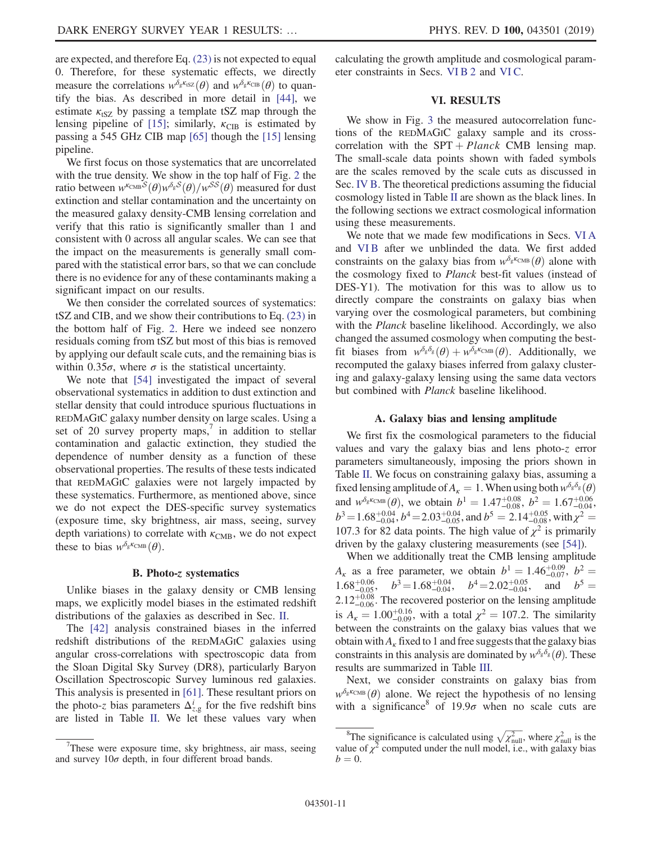are expected, and therefore Eq. [\(23\)](#page-9-0) is not expected to equal 0. Therefore, for these systematic effects, we directly measure the correlations  $w^{\delta_g \kappa_{fSZ}}(\theta)$  and  $w^{\delta_g \kappa_{CIB}}(\theta)$  to quantify the bias. As described in more detail in [\[44\],](#page-17-6) we estimate  $\kappa_{tSZ}$  by passing a template tSZ map through the lensing pipeline of [\[15\]](#page-16-14); similarly,  $\kappa_{\text{CIB}}$  is estimated by passing a 545 GHz CIB map [\[65\]](#page-17-26) though the [\[15\]](#page-16-14) lensing pipeline.

We first focus on those systematics that are uncorrelated with the true density. We show in the top half of Fig. [2](#page-9-1) the ratio between  $w^{\kappa_{\text{CMB}}S}(\theta)w^{\delta_{\text{g}}S}(\theta)/w^{SS}(\theta)$  measured for dust extinction and stellar contamination and the uncertainty on the measured galaxy density-CMB lensing correlation and verify that this ratio is significantly smaller than 1 and consistent with 0 across all angular scales. We can see that the impact on the measurements is generally small compared with the statistical error bars, so that we can conclude there is no evidence for any of these contaminants making a significant impact on our results.

We then consider the correlated sources of systematics: tSZ and CIB, and we show their contributions to Eq. [\(23\)](#page-9-0) in the bottom half of Fig. [2](#page-9-1). Here we indeed see nonzero residuals coming from tSZ but most of this bias is removed by applying our default scale cuts, and the remaining bias is within 0.35 $\sigma$ , where  $\sigma$  is the statistical uncertainty.

We note that [\[54\]](#page-17-14) investigated the impact of several observational systematics in addition to dust extinction and stellar density that could introduce spurious fluctuations in REDMAGIC galaxy number density on large scales. Using a set of 20 survey property maps,<sup>7</sup> in addition to stellar contamination and galactic extinction, they studied the dependence of number density as a function of these observational properties. The results of these tests indicated that REDMAGIC galaxies were not largely impacted by these systematics. Furthermore, as mentioned above, since we do not expect the DES-specific survey systematics (exposure time, sky brightness, air mass, seeing, survey depth variations) to correlate with  $\kappa_{\text{CMB}}$ , we do not expect these to bias  $w^{\delta_g \kappa_{\rm CMB}}(\theta)$ .

## B. Photo-z systematics

Unlike biases in the galaxy density or CMB lensing maps, we explicitly model biases in the estimated redshift distributions of the galaxies as described in Sec. [II](#page-3-0).

The [\[42\]](#page-17-4) analysis constrained biases in the inferred redshift distributions of the REDMAGIC galaxies using angular cross-correlations with spectroscopic data from the Sloan Digital Sky Survey (DR8), particularly Baryon Oscillation Spectroscopic Survey luminous red galaxies. This analysis is presented in [\[61\].](#page-17-23) These resultant priors on the photo-z bias parameters  $\Delta_{z,g}^{i}$  for the five redshift bins are listed in Table [II.](#page-7-0) We let these values vary when calculating the growth amplitude and cosmological parameter constraints in Secs. [VI B 2](#page-13-0) and [VI C](#page-13-1).

# VI. RESULTS

<span id="page-10-0"></span>We show in Fig. [3](#page-11-0) the measured autocorrelation functions of the REDMAGIC galaxy sample and its crosscorrelation with the  $SPT + Planck$  CMB lensing map. The small-scale data points shown with faded symbols are the scales removed by the scale cuts as discussed in Sec. [IV B.](#page-6-0) The theoretical predictions assuming the fiducial cosmology listed in Table [II](#page-7-0) are shown as the black lines. In the following sections we extract cosmological information using these measurements.

We note that we made few modifications in Secs. [VI A](#page-10-1) and [VI B](#page-12-0) after we unblinded the data. We first added constraints on the galaxy bias from  $w^{\delta_g \kappa_{\rm CMB}}(\theta)$  alone with the cosmology fixed to Planck best-fit values (instead of DES-Y1). The motivation for this was to allow us to directly compare the constraints on galaxy bias when varying over the cosmological parameters, but combining with the *Planck* baseline likelihood. Accordingly, we also changed the assumed cosmology when computing the bestfit biases from  $w^{\delta_g \delta_g}(\theta) + w^{\delta_g \kappa_{\text{CMB}}}(\theta)$ . Additionally, we recomputed the galaxy biases inferred from galaxy clustering and galaxy-galaxy lensing using the same data vectors but combined with Planck baseline likelihood.

### A. Galaxy bias and lensing amplitude

<span id="page-10-1"></span>We first fix the cosmological parameters to the fiducial values and vary the galaxy bias and lens photo-z error parameters simultaneously, imposing the priors shown in Table [II](#page-7-0). We focus on constraining galaxy bias, assuming a fixed lensing amplitude of  $A_k = 1$ . When using both  $w^{\delta_g \delta_g}(\theta)$ and  $w^{\delta_g \kappa_{\text{CMB}}}(\theta)$ , we obtain  $b^1 = 1.47^{+0.08}_{-0.08}$ ,  $b^2 = 1.67^{+0.06}_{-0.04}$ ,  $b^3 = 1.68^{+0.04}_{-0.04}$ ,  $b^4 = 2.03^{+0.04}_{-0.05}$ , and  $b^5 = 2.14^{+0.05}_{-0.08}$ , with  $\chi^2 =$ <br>107.3 for 82.40to points. The high value of  $x^2$  is primarily 107.3 for 82 data points. The high value of  $\chi^2$  is primarily driven by the galaxy clustering measurements (see [\[54\]](#page-17-14)).

When we additionally treat the CMB lensing amplitude  $A_k$  as a free parameter, we obtain  $b^1 = 1.46^{+0.09}_{-0.07}$ ,  $b^2 = 1.68^{+0.06}_{-0.05}$ ,  $b^3 = 1.68^{+0.04}_{-0.04}$ ,  $b^4 = 2.02^{+0.05}_{-0.04}$ , and  $b^5 =$  $b^3 = 1.68^{+0.04}_{-0.04}$ ,  $b^4 = 2.02^{+0.05}_{-0.04}$ , and  $b^5 =$  $2.12^{+0.08}_{-0.06}$ . The recovered posterior on the lensing amplitude is  $A_k = 1.00^{+0.16}_{-0.09}$ , with a total  $\chi^2 = 107.2$ . The similarity between the constraints on the galaxy bias values that we obtain with  $A_k$  fixed to 1 and free suggests that the galaxy bias constraints in this analysis are dominated by  $w^{\delta_g \delta_g}(\theta)$ . These results are summarized in Table [III](#page-12-1).

Next, we consider constraints on galaxy bias from  $w^{\delta_g \kappa_{\rm CMB}}(\theta)$  alone. We reject the hypothesis of no lensing<br>with a significance of 19.9 $\sigma$  when no scale cuts are with a significance<sup>8</sup> of 19.9 $\sigma$  when no scale cuts are

<sup>&</sup>lt;sup>7</sup>These were exposure time, sky brightness, air mass, seeing and survey  $10\sigma$  depth, in four different broad bands.

<sup>&</sup>lt;sup>8</sup>The significance is calculated using  $\sqrt{\chi^2_{\text{null}}}$ , where  $\chi^2_{\text{null}}$  is the value of  $\chi^2$  computed under the null model, i.e., with galaxy bias  $b = 0.$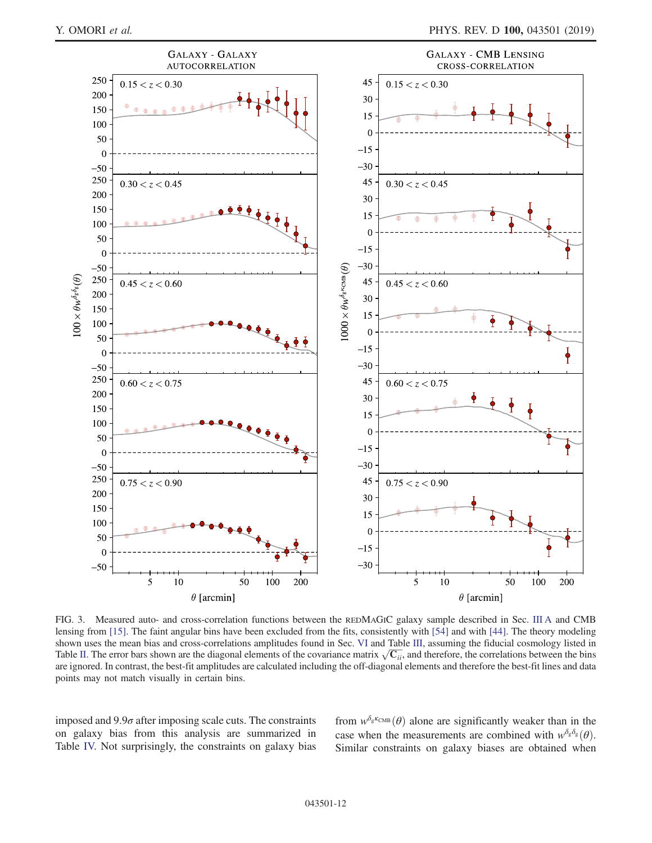<span id="page-11-0"></span>

FIG. 3. Measured auto- and cross-correlation functions between the REDMAGIC galaxy sample described in Sec. [III A](#page-4-3) and CMB lensing from [\[15\]](#page-16-14). The faint angular bins have been excluded from the fits, consistently with [\[54\]](#page-17-14) and with [\[44\]](#page-17-6). The theory modeling shown uses the mean bias and cross-correlations amplitudes found in Sec. [VI](#page-10-0) and Table [III](#page-12-1), assuming the fiducial cosmology listed in Table [II](#page-7-0). The error bars shown are the diagonal elements of the covariance matrix  $\sqrt{C_{ii}}$ , and therefore, the correlations between the bins are ignored. In contrast, the best-fit amplitudes are calculated including the off-diagonal elements and therefore the best-fit lines and data points may not match visually in certain bins.

imposed and  $9.9\sigma$  after imposing scale cuts. The constraints on galaxy bias from this analysis are summarized in Table [IV.](#page-12-2) Not surprisingly, the constraints on galaxy bias from  $w^{\delta_g \kappa_{\text{CMB}}}(\theta)$  alone are significantly weaker than in the case when the measurements are combined with  $w^{\delta_g \delta_g}(\theta)$ . Similar constraints on galaxy biases are obtained when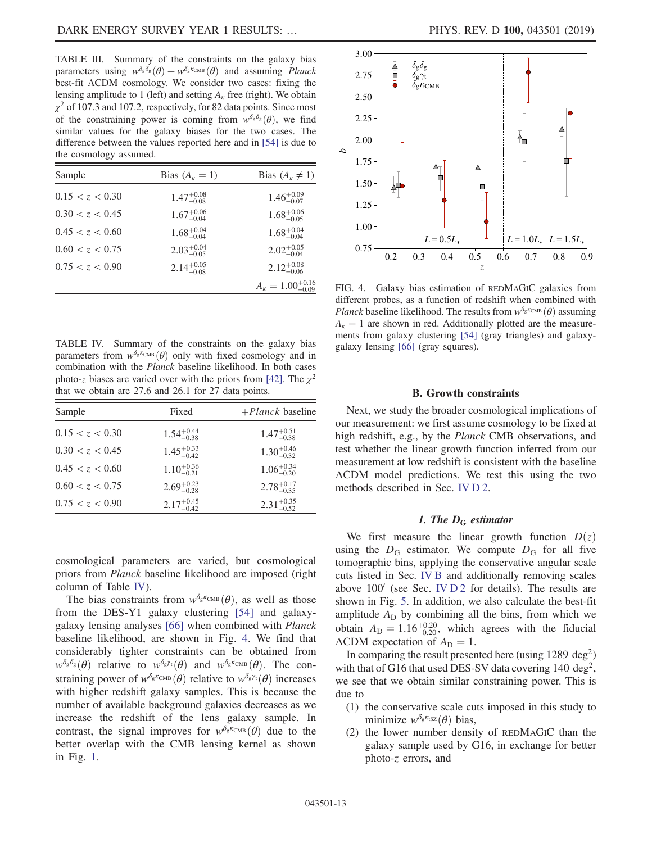<span id="page-12-1"></span>TABLE III. Summary of the constraints on the galaxy bias parameters using  $w^{\delta_g \delta_g}(\theta) + w^{\delta_g \kappa_{\text{CMB}}}(\theta)$  and assuming *Planck* best-fit ΛCDM cosmology. We consider two cases: fixing the lensing amplitude to 1 (left) and setting  $A<sub>k</sub>$  free (right). We obtain  $\chi^2$  of 107.3 and 107.2, respectively, for 82 data points. Since most of the constraining power is coming from  $w^{\delta_{g}\delta_{g}}(\theta)$ , we find similar values for the galaxy biases for the two cases. The difference between the values reported here and in [\[54\]](#page-17-14) is due to the cosmology assumed.

| Bias $(A_r = 1)$       |                                     |
|------------------------|-------------------------------------|
|                        | Bias $(A_{\kappa} \neq 1)$          |
| $1.47^{+0.08}_{-0.08}$ | $1.46^{+0.09}_{-0.07}$              |
| $1.67^{+0.06}_{-0.04}$ | $1.68^{+0.06}_{-0.05}$              |
| $1.68^{+0.04}_{-0.04}$ | $1.68^{+0.04}_{-0.04}$              |
| $2.03^{+0.04}_{-0.05}$ | $2.02^{+0.05}_{-0.04}$              |
| $2.14^{+0.05}_{-0.08}$ | $2.12^{+0.08}_{-0.06}$              |
|                        | $A_{\kappa} = 1.00^{+0.16}_{-0.09}$ |
|                        |                                     |

<span id="page-12-2"></span>TABLE IV. Summary of the constraints on the galaxy bias parameters from  $w^{\delta_g \kappa_{\text{CMB}}}(\theta)$  only with fixed cosmology and in combination with the Planck baseline likelihood. In both cases photo-z biases are varied over with the priors from [\[42\]](#page-17-4). The  $\chi^2$ that we obtain are 27.6 and 26.1 for 27 data points.

| Sample          | Fixed                  | $+Planck$ baseline     |
|-----------------|------------------------|------------------------|
| 0.15 < z < 0.30 | $1.54^{+0.44}_{-0.38}$ | $1.47^{+0.51}_{-0.38}$ |
| 0.30 < z < 0.45 | $1.45^{+0.33}_{-0.42}$ | $1.30_{-0.32}^{+0.46}$ |
| 0.45 < z < 0.60 | $1.10^{+0.36}_{-0.21}$ | $1.06^{+0.34}_{-0.20}$ |
| 0.60 < z < 0.75 | $2.69^{+0.23}_{-0.28}$ | $2.78^{+0.17}_{-0.35}$ |
| 0.75 < z < 0.90 | $2.17^{+0.45}_{-0.42}$ | $2.31_{-0.52}^{+0.35}$ |

cosmological parameters are varied, but cosmological priors from Planck baseline likelihood are imposed (right column of Table [IV\)](#page-12-2).

The bias constraints from  $w^{\delta_g \kappa_{\text{CMB}}}(\theta)$ , as well as those from the DES-Y1 galaxy clustering [\[54\]](#page-17-14) and galaxygalaxy lensing analyses [\[66\]](#page-17-27) when combined with Planck baseline likelihood, are shown in Fig. [4.](#page-12-3) We find that considerably tighter constraints can be obtained from  $w^{\delta_g \delta_g}(\theta)$  relative to  $w^{\delta_g \gamma_l}(\theta)$  and  $w^{\delta_g \kappa_{\rm CMB}}(\theta)$ . The con-<br>straining nower of  $w^{\delta_g \kappa_{\rm CMB}}(A)$  relative to  $w^{\delta_g \gamma_l}(A)$  increases straining power of  $w^{\delta_g \kappa_{\rm CMB}}(\theta)$  relative to  $w^{\delta_g \gamma_{\rm t}}(\theta)$  increases with higher redshift galaxy samples. This is because the number of available background galaxies decreases as we increase the redshift of the lens galaxy sample. In contrast, the signal improves for  $w^{\delta_g \kappa_{\text{CMB}}}(\theta)$  due to the better overlap with the CMB lensing kernel as shown in Fig. [1.](#page-5-2)

<span id="page-12-3"></span>

FIG. 4. Galaxy bias estimation of REDMAGIC galaxies from different probes, as a function of redshift when combined with *Planck* baseline likelihood. The results from  $w^{\delta_g \kappa_{CMB}}(\theta)$  assuming  $A_{k} = 1$  are shown in red. Additionally plotted are the measurements from galaxy clustering [\[54\]](#page-17-14) (gray triangles) and galaxygalaxy lensing [\[66\]](#page-17-27) (gray squares).

## B. Growth constraints

<span id="page-12-0"></span>Next, we study the broader cosmological implications of our measurement: we first assume cosmology to be fixed at high redshift, e.g., by the Planck CMB observations, and test whether the linear growth function inferred from our measurement at low redshift is consistent with the baseline ΛCDM model predictions. We test this using the two methods described in Sec. [IV D 2](#page-7-1).

## 1. The  $D_G$  estimator

We first measure the linear growth function  $D(z)$ using the  $D_G$  estimator. We compute  $D_G$  for all five tomographic bins, applying the conservative angular scale cuts listed in Sec. [IV B](#page-6-0) and additionally removing scales above  $100'$  (see Sec. [IV D 2](#page-7-1) for details). The results are shown in Fig. [5.](#page-13-2) In addition, we also calculate the best-fit amplitude  $A_D$  by combining all the bins, from which we obtain  $A_D = 1.16^{+0.20}_{-0.20}$ , which agrees with the fiducial  $\Lambda$ CDM expectation of  $A_{\rm D} = 1$ .

In comparing the result presented here (using  $1289 \text{ deg}^2$ ) with that of G16 that used DES-SV data covering 140 deg<sup>2</sup>, we see that we obtain similar constraining power. This is due to

- (1) the conservative scale cuts imposed in this study to minimize  $w^{\delta_g \kappa_{tSZ}}(\theta)$  bias,
- (2) the lower number density of REDMAGIC than the galaxy sample used by G16, in exchange for better photo-z errors, and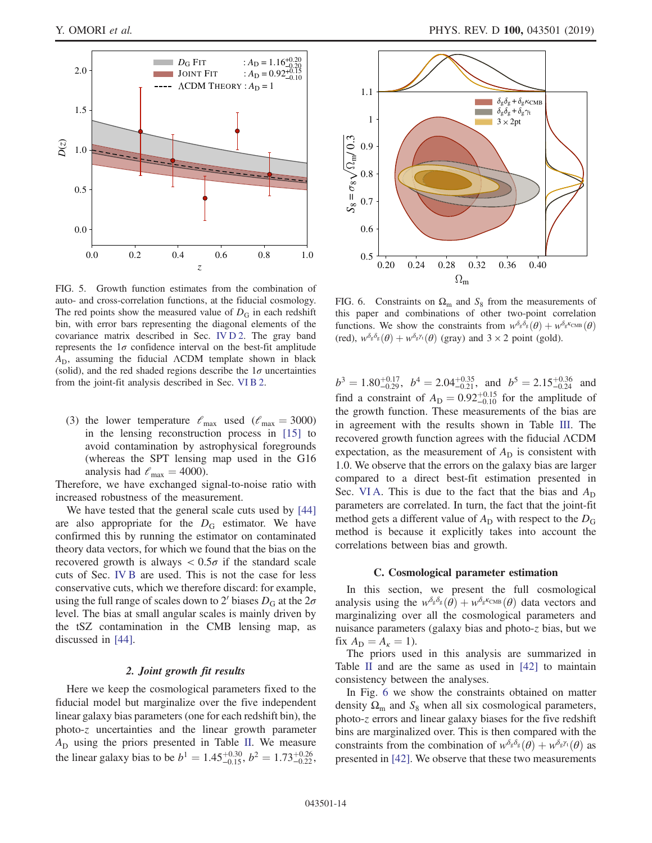<span id="page-13-2"></span>

FIG. 5. Growth function estimates from the combination of auto- and cross-correlation functions, at the fiducial cosmology. The red points show the measured value of  $D<sub>G</sub>$  in each redshift bin, with error bars representing the diagonal elements of the covariance matrix described in Sec. [IV D 2.](#page-7-1) The gray band represents the  $1\sigma$  confidence interval on the best-fit amplitude  $A<sub>D</sub>$ , assuming the fiducial  $\Lambda$ CDM template shown in black (solid), and the red shaded regions describe the  $1\sigma$  uncertainties from the joint-fit analysis described in Sec. [VI B 2.](#page-13-0)

(3) the lower temperature  $\ell_{\text{max}}$  used ( $\ell_{\text{max}} = 3000$ ) in the lensing reconstruction process in [\[15\]](#page-16-14) to avoid contamination by astrophysical foregrounds (whereas the SPT lensing map used in the G16 analysis had  $\ell_{\text{max}} = 4000$ ).

Therefore, we have exchanged signal-to-noise ratio with increased robustness of the measurement.

We have tested that the general scale cuts used by [\[44\]](#page-17-6) are also appropriate for the  $D<sub>G</sub>$  estimator. We have confirmed this by running the estimator on contaminated theory data vectors, for which we found that the bias on the recovered growth is always  $< 0.5\sigma$  if the standard scale cuts of Sec. [IV B](#page-6-0) are used. This is not the case for less conservative cuts, which we therefore discard: for example, using the full range of scales down to 2' biases  $D_G$  at the  $2\sigma$ level. The bias at small angular scales is mainly driven by the tSZ contamination in the CMB lensing map, as discussed in [\[44\].](#page-17-6)

#### 2. Joint growth fit results

<span id="page-13-0"></span>Here we keep the cosmological parameters fixed to the fiducial model but marginalize over the five independent linear galaxy bias parameters (one for each redshift bin), the photo-z uncertainties and the linear growth parameter  $A<sub>D</sub>$  using the priors presented in Table [II](#page-7-0). We measure the linear galaxy bias to be  $b^1 = 1.45_{-0.15}^{+0.30}$ ,  $b^2 = 1.73_{-0.22}^{+0.26}$ ,

<span id="page-13-3"></span>

FIG. 6. Constraints on  $\Omega_{\rm m}$  and  $S_8$  from the measurements of this paper and combinations of other two-point correlation functions. We show the constraints from  $w^{\delta_g \delta_g}(\theta) + w^{\delta_g \kappa_{CMB}}(\theta)$ (red),  $w^{\delta_g \delta_g}(\theta) + w^{\delta_g \gamma_t}(\theta)$  (gray) and 3 × 2 point (gold).

 $b^3 = 1.80^{+0.17}_{-0.29}$ ,  $b^4 = 2.04^{+0.35}_{-0.21}$ , and  $b^5 = 2.15^{+0.36}_{-0.24}$  and<br>find a constraint of  $A = 0.92^{+0.15}_{-0.24}$  for the smallitude of find a constraint of  $A_D = 0.92^{+0.15}_{-0.10}$  for the amplitude of the arguments of the bias are the growth function. These measurements of the bias are in agreement with the results shown in Table [III.](#page-12-1) The recovered growth function agrees with the fiducial ΛCDM expectation, as the measurement of  $A<sub>D</sub>$  is consistent with 1.0. We observe that the errors on the galaxy bias are larger compared to a direct best-fit estimation presented in Sec. [VI A.](#page-10-1) This is due to the fact that the bias and  $A_D$ parameters are correlated. In turn, the fact that the joint-fit method gets a different value of  $A_D$  with respect to the  $D_G$ method is because it explicitly takes into account the correlations between bias and growth.

### C. Cosmological parameter estimation

<span id="page-13-1"></span>In this section, we present the full cosmological analysis using the  $w^{\delta_g \delta_g}(\theta) + w^{\delta_g \kappa_{CMB}}(\theta)$  data vectors and marginalizing over all the cosmological parameters and nuisance parameters (galaxy bias and photo-z bias, but we fix  $A_{\rm D} = A_{\kappa} = 1$ ).

The priors used in this analysis are summarized in Table [II](#page-7-0) and are the same as used in  $[42]$  to maintain consistency between the analyses.

In Fig. [6](#page-13-3) we show the constraints obtained on matter density  $\Omega_{\rm m}$  and  $S_8$  when all six cosmological parameters, photo-z errors and linear galaxy biases for the five redshift bins are marginalized over. This is then compared with the constraints from the combination of  $w^{\delta_g \delta_g}(\theta) + w^{\delta_g \gamma_i}(\theta)$  as presented in [\[42\]](#page-17-4). We observe that these two measurements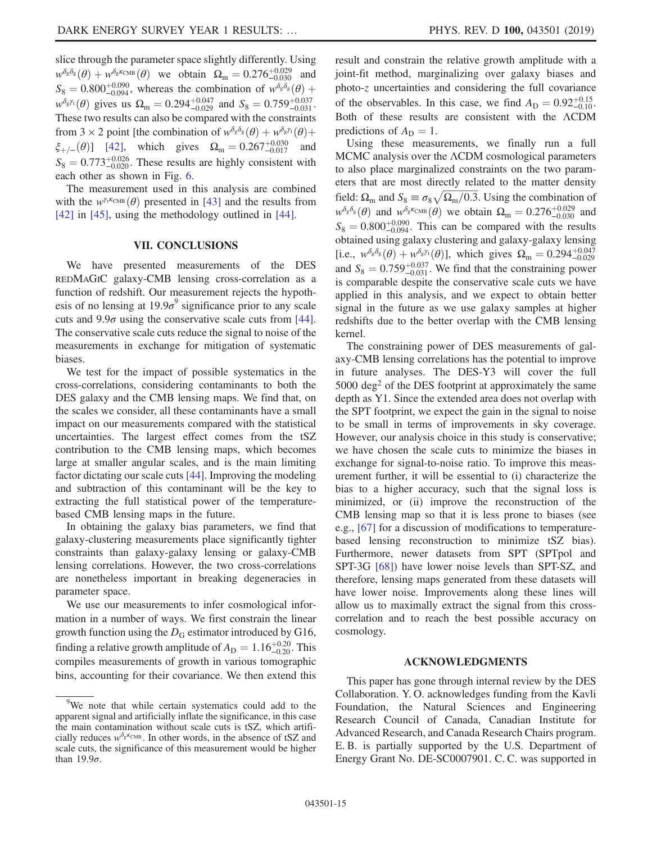slice through the parameter space slightly differently. Using  $w^{\delta_g \delta_g}(\theta) + w^{\delta_g \kappa_{\rm CMB}}(\theta)$  we obtain  $\Omega_{\rm m} = 0.276_{-0.030}^{+0.029}$  and<br>S<sub>1</sub> 0.800<sup>+0.090</sup> whereas the combination of  $w^{\delta_g \delta_g}(\theta)$  $S_8 = 0.800_{-0.094}^{+0.090}$ , whereas the combination of  $w^{\delta_g \delta_g}(\theta)$  +  $w^{\delta_g \gamma_i}(\theta)$  gives us  $\Omega_m = 0.294_{-0.029}^{+0.047}$  and  $S_8 = 0.759_{-0.031}^{+0.037}$ .<br>These two results can also be compared with the constraints These two results can also be compared with the constraints from 3 × 2 point [the combination of  $w^{\delta_g \delta_g}(\theta) + w^{\delta_g \gamma_i}(\theta) +$  $\xi_{+/-}(\theta)$ ] [\[42\],](#page-17-4) which gives  $\Omega_{\rm m} = 0.267^{+0.030}_{-0.017}$  and  $S_8 = 0.773_{-0.020}^{+0.026}$ . These results are highly consistent with each other as shown in Fig. [6.](#page-13-3)

The measurement used in this analysis are combined with the  $w^{\gamma_t \kappa_{\text{CMB}}}(\theta)$  presented in [\[43\]](#page-17-5) and the results from [\[42\]](#page-17-4) in [\[45\],](#page-17-7) using the methodology outlined in [\[44\]](#page-17-6).

# VII. CONCLUSIONS

<span id="page-14-0"></span>We have presented measurements of the DES REDMAGIC galaxy-CMB lensing cross-correlation as a function of redshift. Our measurement rejects the hypothesis of no lensing at  $19.9\sigma^9$  significance prior to any scale cuts and  $9.9\sigma$  using the conservative scale cuts from [\[44\]](#page-17-6). The conservative scale cuts reduce the signal to noise of the measurements in exchange for mitigation of systematic biases.

We test for the impact of possible systematics in the cross-correlations, considering contaminants to both the DES galaxy and the CMB lensing maps. We find that, on the scales we consider, all these contaminants have a small impact on our measurements compared with the statistical uncertainties. The largest effect comes from the tSZ contribution to the CMB lensing maps, which becomes large at smaller angular scales, and is the main limiting factor dictating our scale cuts [\[44\].](#page-17-6) Improving the modeling and subtraction of this contaminant will be the key to extracting the full statistical power of the temperaturebased CMB lensing maps in the future.

In obtaining the galaxy bias parameters, we find that galaxy-clustering measurements place significantly tighter constraints than galaxy-galaxy lensing or galaxy-CMB lensing correlations. However, the two cross-correlations are nonetheless important in breaking degeneracies in parameter space.

We use our measurements to infer cosmological information in a number of ways. We first constrain the linear growth function using the  $D<sub>G</sub>$  estimator introduced by G16, finding a relative growth amplitude of  $A_D = 1.16^{+0.20}_{-0.20}$ . This compiles measurements of growth in various tomographic bins, accounting for their covariance. We then extend this result and constrain the relative growth amplitude with a joint-fit method, marginalizing over galaxy biases and photo-z uncertainties and considering the full covariance of the observables. In this case, we find  $A_D = 0.92^{+0.15}_{-0.10}$ Both of these results are consistent with the ΛCDM predictions of  $A_D = 1$ .

Using these measurements, we finally run a full MCMC analysis over the ΛCDM cosmological parameters to also place marginalized constraints on the two parameters that are most directly related to the matter density field:  $\Omega_{\rm m}$  and  $S_8 \equiv \sigma_8 \sqrt{\Omega_{\rm m}/0.3}$ . Using the combination of  $w^{\delta_g \delta_g}(\theta)$  and  $w^{\delta_g \kappa_{\rm CMB}}(\theta)$  we obtain  $\Omega_m = 0.276_{-0.029}^{+0.029}$  and  $S = 0.800+0.090$ . This can be compared with the results  $S_8 = 0.800_{-0.094}^{+0.090}$ . This can be compared with the results obtained using galaxy clustering and galaxy-galaxy lensing [i.e.,  $w^{\delta_g \delta_g}(\theta) + w^{\delta_g \gamma_i}(\theta)$ ], which gives  $\Omega_m = 0.294^{+0.047}_{-0.029}$ and  $S_8 = 0.759_{-0.031}^{+0.037}$ . We find that the constraining power is comparable despite the conservative scale cuts we have applied in this analysis, and we expect to obtain better signal in the future as we use galaxy samples at higher redshifts due to the better overlap with the CMB lensing kernel.

The constraining power of DES measurements of galaxy-CMB lensing correlations has the potential to improve in future analyses. The DES-Y3 will cover the full  $5000 \text{ deg}^2$  of the DES footprint at approximately the same depth as Y1. Since the extended area does not overlap with the SPT footprint, we expect the gain in the signal to noise to be small in terms of improvements in sky coverage. However, our analysis choice in this study is conservative; we have chosen the scale cuts to minimize the biases in exchange for signal-to-noise ratio. To improve this measurement further, it will be essential to (i) characterize the bias to a higher accuracy, such that the signal loss is minimized, or (ii) improve the reconstruction of the CMB lensing map so that it is less prone to biases (see e.g., [\[67\]](#page-17-28) for a discussion of modifications to temperaturebased lensing reconstruction to minimize tSZ bias). Furthermore, newer datasets from SPT (SPTpol and SPT-3G [\[68\]\)](#page-17-29) have lower noise levels than SPT-SZ, and therefore, lensing maps generated from these datasets will have lower noise. Improvements along these lines will allow us to maximally extract the signal from this crosscorrelation and to reach the best possible accuracy on cosmology.

### ACKNOWLEDGMENTS

This paper has gone through internal review by the DES Collaboration. Y. O. acknowledges funding from the Kavli Foundation, the Natural Sciences and Engineering Research Council of Canada, Canadian Institute for Advanced Research, and Canada Research Chairs program. E. B. is partially supported by the U.S. Department of Energy Grant No. DE-SC0007901. C. C. was supported in

<sup>&</sup>lt;sup>9</sup>We note that while certain systematics could add to the apparent signal and artificially inflate the significance, in this case the main contamination without scale cuts is tSZ, which artificially reduces  $w^{\delta_g \kappa_{\rm CMB}}$ . In other words, in the absence of tSZ and scale cuts, the significance of this measurement would be higher than  $19.9\sigma$ .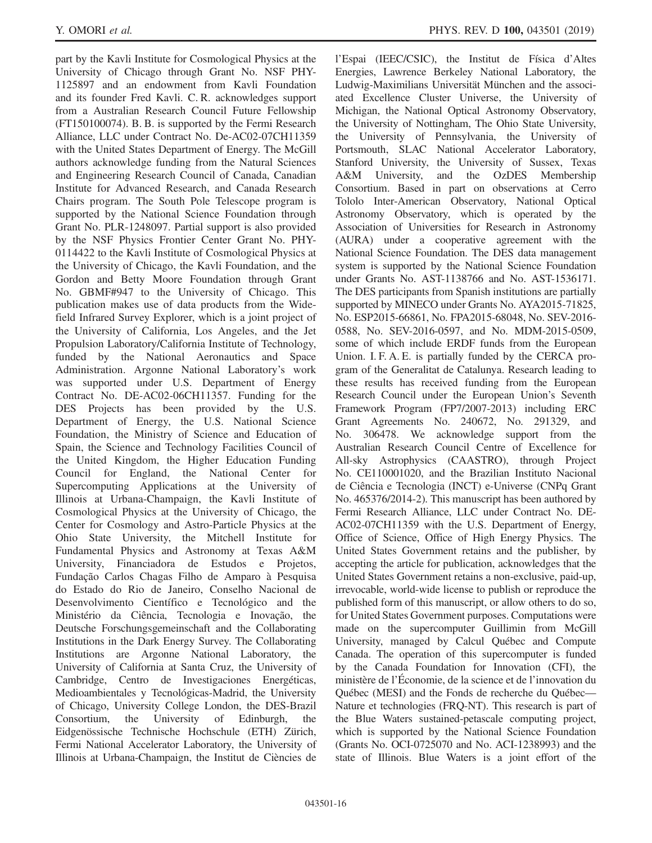part by the Kavli Institute for Cosmological Physics at the University of Chicago through Grant No. NSF PHY-1125897 and an endowment from Kavli Foundation and its founder Fred Kavli. C. R. acknowledges support from a Australian Research Council Future Fellowship (FT150100074). B. B. is supported by the Fermi Research Alliance, LLC under Contract No. De-AC02-07CH11359 with the United States Department of Energy. The McGill authors acknowledge funding from the Natural Sciences and Engineering Research Council of Canada, Canadian Institute for Advanced Research, and Canada Research Chairs program. The South Pole Telescope program is supported by the National Science Foundation through Grant No. PLR-1248097. Partial support is also provided by the NSF Physics Frontier Center Grant No. PHY-0114422 to the Kavli Institute of Cosmological Physics at the University of Chicago, the Kavli Foundation, and the Gordon and Betty Moore Foundation through Grant No. GBMF#947 to the University of Chicago. This publication makes use of data products from the Widefield Infrared Survey Explorer, which is a joint project of the University of California, Los Angeles, and the Jet Propulsion Laboratory/California Institute of Technology, funded by the National Aeronautics and Space Administration. Argonne National Laboratory's work was supported under U.S. Department of Energy Contract No. DE-AC02-06CH11357. Funding for the DES Projects has been provided by the U.S. Department of Energy, the U.S. National Science Foundation, the Ministry of Science and Education of Spain, the Science and Technology Facilities Council of the United Kingdom, the Higher Education Funding Council for England, the National Center for Supercomputing Applications at the University of Illinois at Urbana-Champaign, the Kavli Institute of Cosmological Physics at the University of Chicago, the Center for Cosmology and Astro-Particle Physics at the Ohio State University, the Mitchell Institute for Fundamental Physics and Astronomy at Texas A&M University, Financiadora de Estudos e Projetos, Fundação Carlos Chagas Filho de Amparo à Pesquisa do Estado do Rio de Janeiro, Conselho Nacional de Desenvolvimento Científico e Tecnológico and the Ministério da Ciência, Tecnologia e Inovação, the Deutsche Forschungsgemeinschaft and the Collaborating Institutions in the Dark Energy Survey. The Collaborating Institutions are Argonne National Laboratory, the University of California at Santa Cruz, the University of Cambridge, Centro de Investigaciones Energéticas, Medioambientales y Tecnológicas-Madrid, the University of Chicago, University College London, the DES-Brazil Consortium, the University of Edinburgh, the Eidgenössische Technische Hochschule (ETH) Zürich, Fermi National Accelerator Laboratory, the University of Illinois at Urbana-Champaign, the Institut de Ciències de

l'Espai (IEEC/CSIC), the Institut de Física d'Altes Energies, Lawrence Berkeley National Laboratory, the Ludwig-Maximilians Universität München and the associated Excellence Cluster Universe, the University of Michigan, the National Optical Astronomy Observatory, the University of Nottingham, The Ohio State University, the University of Pennsylvania, the University of Portsmouth, SLAC National Accelerator Laboratory, Stanford University, the University of Sussex, Texas A&M University, and the OzDES Membership Consortium. Based in part on observations at Cerro Tololo Inter-American Observatory, National Optical Astronomy Observatory, which is operated by the Association of Universities for Research in Astronomy (AURA) under a cooperative agreement with the National Science Foundation. The DES data management system is supported by the National Science Foundation under Grants No. AST-1138766 and No. AST-1536171. The DES participants from Spanish institutions are partially supported by MINECO under Grants No. AYA2015-71825, No. ESP2015-66861, No. FPA2015-68048, No. SEV-2016- 0588, No. SEV-2016-0597, and No. MDM-2015-0509, some of which include ERDF funds from the European Union. I. F. A. E. is partially funded by the CERCA program of the Generalitat de Catalunya. Research leading to these results has received funding from the European Research Council under the European Union's Seventh Framework Program (FP7/2007-2013) including ERC Grant Agreements No. 240672, No. 291329, and No. 306478. We acknowledge support from the Australian Research Council Centre of Excellence for All-sky Astrophysics (CAASTRO), through Project No. CE110001020, and the Brazilian Instituto Nacional de Ciência e Tecnologia (INCT) e-Universe (CNPq Grant No. 465376/2014-2). This manuscript has been authored by Fermi Research Alliance, LLC under Contract No. DE-AC02-07CH11359 with the U.S. Department of Energy, Office of Science, Office of High Energy Physics. The United States Government retains and the publisher, by accepting the article for publication, acknowledges that the United States Government retains a non-exclusive, paid-up, irrevocable, world-wide license to publish or reproduce the published form of this manuscript, or allow others to do so, for United States Government purposes. Computations were made on the supercomputer Guillimin from McGill University, managed by Calcul Québec and Compute Canada. The operation of this supercomputer is funded by the Canada Foundation for Innovation (CFI), the ministère de l'Économie, de la science et de l'innovation du Québec (MESI) and the Fonds de recherche du Québec— Nature et technologies (FRQ-NT). This research is part of the Blue Waters sustained-petascale computing project, which is supported by the National Science Foundation (Grants No. OCI-0725070 and No. ACI-1238993) and the state of Illinois. Blue Waters is a joint effort of the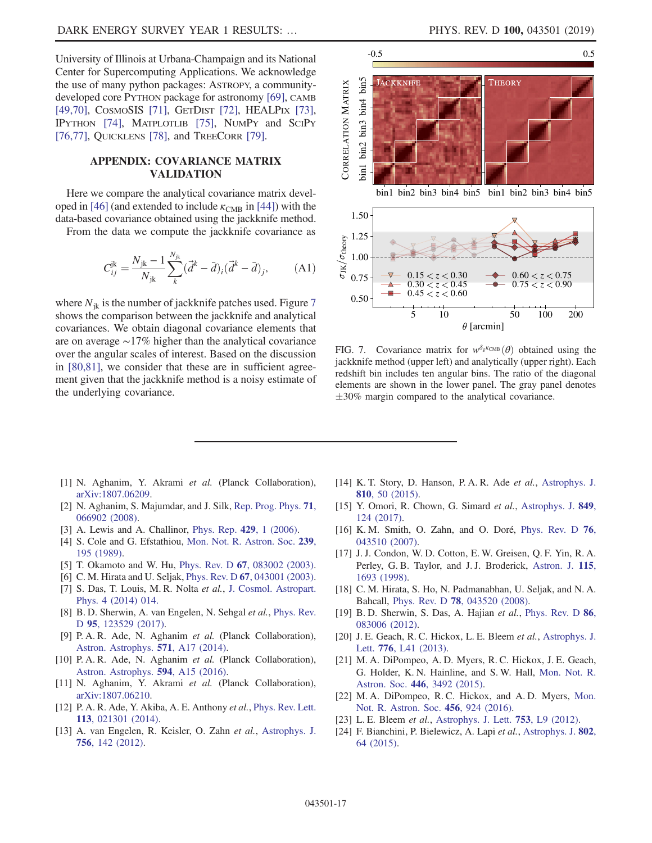University of Illinois at Urbana-Champaign and its National Center for Supercomputing Applications. We acknowledge the use of many python packages: ASTROPY, a communitydeveloped core PYTHON package for astronomy [\[69\]](#page-17-30), CAMB [\[49,70\]](#page-17-31), COSMOSIS [\[71\],](#page-17-32) GETDIST [\[72\]](#page-17-33), HEALPIX [\[73\]](#page-17-34), IPYTHON [\[74\]](#page-17-35), MATPLOTLIB [\[75\],](#page-17-36) NUMPY and SCIPY [\[76,77\]](#page-17-37), QUICKLENS [\[78\]](#page-17-38), and TREECORR [\[79\].](#page-17-39)

## APPENDIX: COVARIANCE MATRIX VALIDATION

Here we compare the analytical covariance matrix devel-oped in [\[46\]](#page-17-9) (and extended to include  $\kappa_{\text{CMB}}$  in [\[44\]](#page-17-6)) with the data-based covariance obtained using the jackknife method.

From the data we compute the jackknife covariance as

$$
C_{ij}^{jk} = \frac{N_{jk} - 1}{N_{jk}} \sum_{k}^{N_{jk}} (\vec{d}^k - \vec{d})_i (\vec{d}^k - \vec{d})_j, \tag{A1}
$$

where  $N_{ik}$  is the number of jackknife patches used. Figure [7](#page-16-15) shows the comparison between the jackknife and analytical covariances. We obtain diagonal covariance elements that are on average ∼17% higher than the analytical covariance over the angular scales of interest. Based on the discussion in [\[80,81\]](#page-17-40), we consider that these are in sufficient agreement given that the jackknife method is a noisy estimate of the underlying covariance.

<span id="page-16-15"></span>

FIG. 7. Covariance matrix for  $w^{\delta_g \kappa_{\rm CMB}}(\theta)$  obtained using the jackknife method (upper left) and analytically (upper right). Each redshift bin includes ten angular bins. The ratio of the diagonal elements are shown in the lower panel. The gray panel denotes  $\pm 30\%$  margin compared to the analytical covariance.

- <span id="page-16-0"></span>[1] N. Aghanim, Y. Akrami et al. (Planck Collaboration), [arXiv:1807.06209.](http://arXiv.org/abs/1807.06209)
- <span id="page-16-1"></span>[2] N. Aghanim, S. Majumdar, and J. Silk, [Rep. Prog. Phys.](https://doi.org/10.1088/0034-4885/71/6/066902) 71, [066902 \(2008\).](https://doi.org/10.1088/0034-4885/71/6/066902)
- <span id="page-16-3"></span><span id="page-16-2"></span>[3] A. Lewis and A. Challinor, [Phys. Rep.](https://doi.org/10.1016/j.physrep.2006.03.002) 429, 1 (2006).
- [4] S. Cole and G. Efstathiou, [Mon. Not. R. Astron. Soc.](https://doi.org/10.1093/mnras/239.1.195) 239, [195 \(1989\)](https://doi.org/10.1093/mnras/239.1.195).
- <span id="page-16-4"></span>[5] T. Okamoto and W. Hu, Phys. Rev. D **67**[, 083002 \(2003\).](https://doi.org/10.1103/PhysRevD.67.083002)
- <span id="page-16-5"></span>[6] C. M. Hirata and U. Seljak, Phys. Rev. D 67[, 043001 \(2003\).](https://doi.org/10.1103/PhysRevD.67.043001)
- [7] S. Das, T. Louis, M. R. Nolta et al., [J. Cosmol. Astropart.](https://doi.org/10.1088/1475-7516/2014/04/014) [Phys. 4 \(2014\) 014.](https://doi.org/10.1088/1475-7516/2014/04/014)
- [8] B. D. Sherwin, A. van Engelen, N. Sehgal et al., [Phys. Rev.](https://doi.org/10.1103/PhysRevD.95.123529) D 95[, 123529 \(2017\)](https://doi.org/10.1103/PhysRevD.95.123529).
- <span id="page-16-6"></span>[9] P. A. R. Ade, N. Aghanim et al. (Planck Collaboration), [Astron. Astrophys.](https://doi.org/10.1051/0004-6361/201321543) 571, A17 (2014).
- [10] P. A. R. Ade, N. Aghanim et al. (Planck Collaboration), [Astron. Astrophys.](https://doi.org/10.1051/0004-6361/201525941) 594, A15 (2016).
- [11] N. Aghanim, Y. Akrami et al. (Planck Collaboration), [arXiv:1807.06210.](http://arXiv.org/abs/1807.06210)
- <span id="page-16-7"></span>[12] P. A. R. Ade, Y. Akiba, A. E. Anthony et al., [Phys. Rev. Lett.](https://doi.org/10.1103/PhysRevLett.113.021301) 113[, 021301 \(2014\).](https://doi.org/10.1103/PhysRevLett.113.021301)
- <span id="page-16-8"></span>[13] A. van Engelen, R. Keisler, O. Zahn et al., [Astrophys. J.](https://doi.org/10.1088/0004-637X/756/2/142) 756[, 142 \(2012\)](https://doi.org/10.1088/0004-637X/756/2/142).
- [14] K. T. Story, D. Hanson, P. A. R. Ade et al., [Astrophys. J.](https://doi.org/10.1088/0004-637X/810/1/50) 810[, 50 \(2015\).](https://doi.org/10.1088/0004-637X/810/1/50)
- <span id="page-16-14"></span>[15] Y. Omori, R. Chown, G. Simard et al., [Astrophys. J.](https://doi.org/10.3847/1538-4357/aa8d1d) 849, [124 \(2017\)](https://doi.org/10.3847/1538-4357/aa8d1d).
- <span id="page-16-9"></span>[16] K. M. Smith, O. Zahn, and O. Doré, [Phys. Rev. D](https://doi.org/10.1103/PhysRevD.76.043510) 76, [043510 \(2007\).](https://doi.org/10.1103/PhysRevD.76.043510)
- <span id="page-16-10"></span>[17] J. J. Condon, W. D. Cotton, E. W. Greisen, Q. F. Yin, R. A. Perley, G. B. Taylor, and J. J. Broderick, [Astron. J.](https://doi.org/10.1086/300337) 115, [1693 \(1998\)](https://doi.org/10.1086/300337).
- <span id="page-16-11"></span>[18] C. M. Hirata, S. Ho, N. Padmanabhan, U. Seljak, and N. A. Bahcall, Phys. Rev. D 78[, 043520 \(2008\).](https://doi.org/10.1103/PhysRevD.78.043520)
- <span id="page-16-12"></span>[19] B.D. Sherwin, S. Das, A. Hajian et al., [Phys. Rev. D](https://doi.org/10.1103/PhysRevD.86.083006) 86, [083006 \(2012\).](https://doi.org/10.1103/PhysRevD.86.083006)
- [20] J. E. Geach, R. C. Hickox, L. E. Bleem et al., [Astrophys. J.](https://doi.org/10.1088/2041-8205/776/2/L41) Lett. 776[, L41 \(2013\)](https://doi.org/10.1088/2041-8205/776/2/L41).
- [21] M. A. DiPompeo, A. D. Myers, R. C. Hickox, J. E. Geach, G. Holder, K. N. Hainline, and S. W. Hall, [Mon. Not. R.](https://doi.org/10.1093/mnras/stu2341) Astron. Soc. 446[, 3492 \(2015\)](https://doi.org/10.1093/mnras/stu2341).
- [22] M. A. DiPompeo, R. C. Hickox, and A. D. Myers, [Mon.](https://doi.org/10.1093/mnras/stv2681) [Not. R. Astron. Soc.](https://doi.org/10.1093/mnras/stv2681) 456, 924 (2016).
- <span id="page-16-13"></span>[23] L. E. Bleem et al., [Astrophys. J. Lett.](https://doi.org/10.1088/2041-8205/753/1/L9) **753**, L9 (2012).
- [24] F. Bianchini, P. Bielewicz, A. Lapi et al., [Astrophys. J.](https://doi.org/10.1088/0004-637X/802/1/64) 802, [64 \(2015\).](https://doi.org/10.1088/0004-637X/802/1/64)